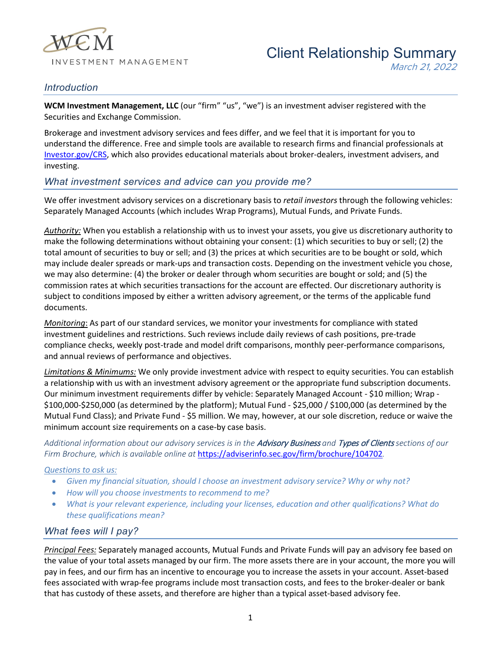

## *Introduction*

**WCM Investment Management, LLC** (our "firm" "us", "we") is an investment adviser registered with the Securities and Exchange Commission.

Brokerage and investment advisory services and fees differ, and we feel that it is important for you to understand the difference. Free and simple tools are available to research firms and financial professionals at [Investor.gov/CRS,](https://www.investor.gov/CRS) which also provides educational materials about broker-dealers, investment advisers, and investing.

### *What investment services and advice can you provide me?*

We offer investment advisory services on a discretionary basis to *retail investors* through the following vehicles: Separately Managed Accounts (which includes Wrap Programs), Mutual Funds, and Private Funds.

*Authority:* When you establish a relationship with us to invest your assets, you give us discretionary authority to make the following determinations without obtaining your consent: (1) which securities to buy or sell; (2) the total amount of securities to buy or sell; and (3) the prices at which securities are to be bought or sold, which may include dealer spreads or mark-ups and transaction costs. Depending on the investment vehicle you chose, we may also determine: (4) the broker or dealer through whom securities are bought or sold; and (5) the commission rates at which securities transactions for the account are effected. Our discretionary authority is subject to conditions imposed by either a written advisory agreement, or the terms of the applicable fund documents.

*Monitoring*: As part of our standard services, we monitor your investments for compliance with stated investment guidelines and restrictions. Such reviews include daily reviews of cash positions, pre-trade compliance checks, weekly post-trade and model drift comparisons, monthly peer-performance comparisons, and annual reviews of performance and objectives.

*Limitations & Minimums:* We only provide investment advice with respect to equity securities. You can establish a relationship with us with an investment advisory agreement or the appropriate fund subscription documents. Our minimum investment requirements differ by vehicle: Separately Managed Account - \$10 million; Wrap - \$100,000-\$250,000 (as determined by the platform); Mutual Fund - \$25,000 / \$100,000 (as determined by the Mutual Fund Class); and Private Fund - \$5 million. We may, however, at our sole discretion, reduce or waive the minimum account size requirements on a case-by case basis.

*Additional information about our advisory services is in the* Advisory Business *and* Types of Clients *sections of our Firm Brochure, which is available online at* <https://adviserinfo.sec.gov/firm/brochure/104702>*.*

#### *Questions to ask us:*

- *Given my financial situation, should I choose an investment advisory service? Why or why not?*
- *How will you choose investments to recommend to me?*
- *What is your relevant experience, including your licenses, education and other qualifications? What do these qualifications mean?*

### *What fees will I pay?*

*Principal Fees:* Separately managed accounts, Mutual Funds and Private Funds will pay an advisory fee based on the value of your total assets managed by our firm. The more assets there are in your account, the more you will pay in fees, and our firm has an incentive to encourage you to increase the assets in your account. Asset-based fees associated with wrap-fee programs include most transaction costs, and fees to the broker-dealer or bank that has custody of these assets, and therefore are higher than a typical asset-based advisory fee.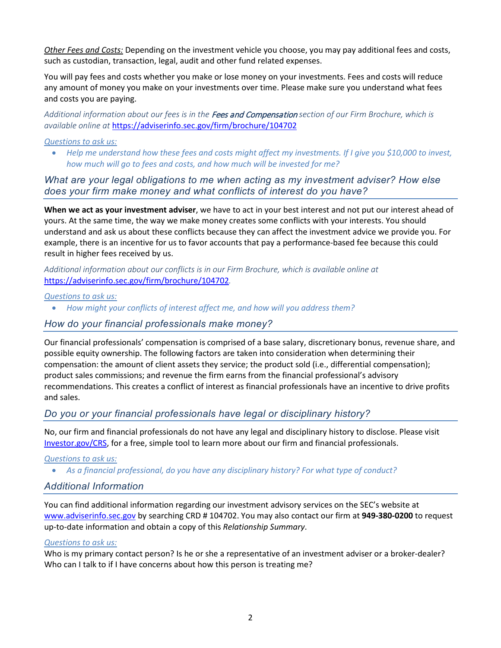*Other Fees and Costs:* Depending on the investment vehicle you choose, you may pay additional fees and costs, such as custodian, transaction, legal, audit and other fund related expenses.

You will pay fees and costs whether you make or lose money on your investments. Fees and costs will reduce any amount of money you make on your investments over time. Please make sure you understand what fees and costs you are paying.

*Additional information about our fees is in the* Fees and Compensation *section of our Firm Brochure, which is available online at* <https://adviserinfo.sec.gov/firm/brochure/104702>

#### *Questions to ask us:*

• *Help me understand how these fees and costs might affect my investments. If I give you \$10,000 to invest, how much will go to fees and costs, and how much will be invested for me?*

*What are your legal obligations to me when acting as my investment adviser? How else does your firm make money and what conflicts of interest do you have?* 

**When we act as your investment adviser**, we have to act in your best interest and not put our interest ahead of yours. At the same time, the way we make money creates some conflicts with your interests. You should understand and ask us about these conflicts because they can affect the investment advice we provide you. For example, there is an incentive for us to favor accounts that pay a performance-based fee because this could result in higher fees received by us.

*Additional information about our conflicts is in our Firm Brochure, which is available online at*  <https://adviserinfo.sec.gov/firm/brochure/104702>*.*

*Questions to ask us:*

• *How might your conflicts of interest affect me, and how will you address them?* 

### *How do your financial professionals make money?*

Our financial professionals' compensation is comprised of a base salary, discretionary bonus, revenue share, and possible equity ownership. The following factors are taken into consideration when determining their compensation: the amount of client assets they service; the product sold (i.e., differential compensation); product sales commissions; and revenue the firm earns from the financial professional's advisory recommendations. This creates a conflict of interest as financial professionals have an incentive to drive profits and sales.

### *Do you or your financial professionals have legal or disciplinary history?*

No, our firm and financial professionals do not have any legal and disciplinary history to disclose. Please visit [Investor.gov/CRS,](https://www.investor.gov/CRS) for a free, simple tool to learn more about our firm and financial professionals.

*Questions to ask us:*

• *As a financial professional, do you have any disciplinary history? For what type of conduct?*

### *Additional Information*

You can find additional information regarding our investment advisory services on the SEC's website at [www.adviserinfo.sec.gov](http://www.adviserinfo.sec.gov/) by searching CRD # 104702. You may also contact our firm at **949-380-0200** to request up-to-date information and obtain a copy of this *Relationship Summary*.

#### *Questions to ask us:*

Who is my primary contact person? Is he or she a representative of an investment adviser or a broker-dealer? Who can I talk to if I have concerns about how this person is treating me?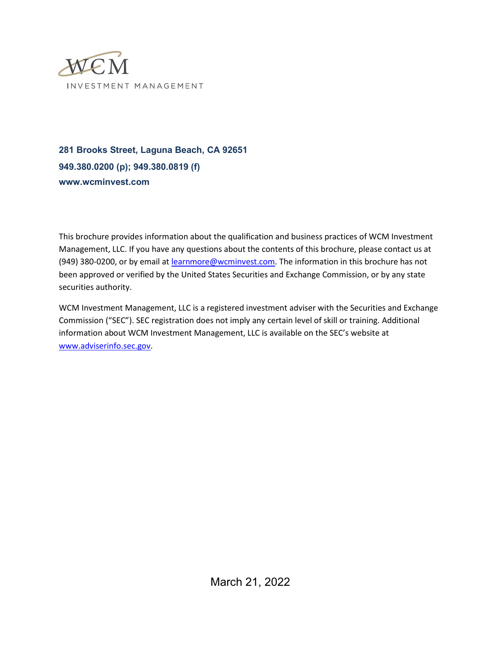

**281 Brooks Street, Laguna Beach, CA 92651 949.380.0200 (p); 949.380.0819 (f) www.wcminvest.com**

This brochure provides information about the qualification and business practices of WCM Investment Management, LLC. If you have any questions about the contents of this brochure, please contact us at (949) 380-0200, or by email at [learnmore@wcminvest.com.](mailto:learnmore@wcminvest.com) The information in this brochure has not been approved or verified by the United States Securities and Exchange Commission, or by any state securities authority.

WCM Investment Management, LLC is a registered investment adviser with the Securities and Exchange Commission ("SEC"). SEC registration does not imply any certain level of skill or training. Additional information about WCM Investment Management, LLC is available on the SEC's website at [www.adviserinfo.sec.gov.](http://www.adviserinfo.sec.gov/)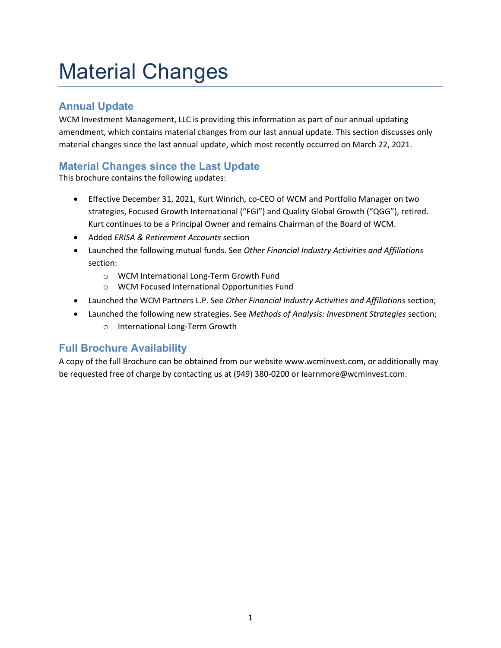# <span id="page-3-0"></span>Material Changes

# <span id="page-3-1"></span>**Annual Update**

WCM Investment Management, LLC is providing this information as part of our annual updating amendment, which contains material changes from our last annual update. This section discusses only material changes since the last annual update, which most recently occurred on March 22, 2021.

# <span id="page-3-2"></span>**Material Changes since the Last Update**

This brochure contains the following updates:

- Effective December 31, 2021, Kurt Winrich, co-CEO of WCM and Portfolio Manager on two strategies, Focused Growth International ("FGI") and Quality Global Growth ("QGG"), retired. Kurt continues to be a Principal Owner and remains Chairman of the Board of WCM.
- Added *ERISA & Retirement Accounts* section
- Launched the following mutual funds. See *Other Financial Industry Activities and Affiliations* section:
	- o WCM International Long-Term Growth Fund
	- o WCM Focused International Opportunities Fund
- Launched the WCM Partners L.P. See *Other Financial Industry Activities and Affiliations* section;
- Launched the following new strategies. See *Methods of Analysis: Investment Strategies* section;
	- o International Long-Term Growth

# <span id="page-3-3"></span>**Full Brochure Availability**

A copy of the full Brochure can be obtained from our website www.wcminvest.com, or additionally may be requested free of charge by contacting us at (949) 380-0200 or learnmore@wcminvest.com.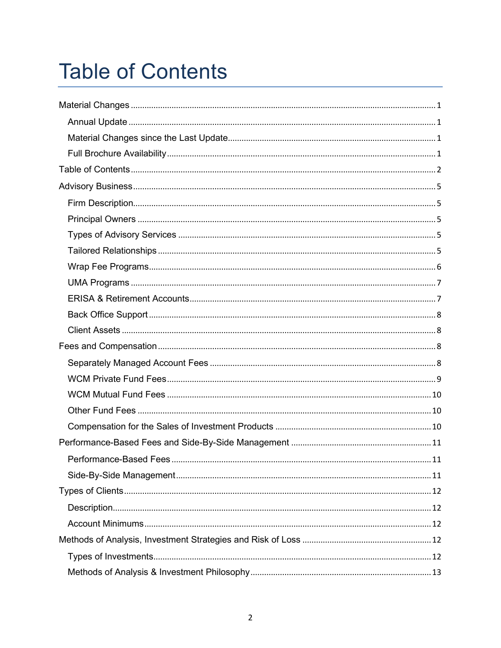# <span id="page-4-0"></span>**Table of Contents**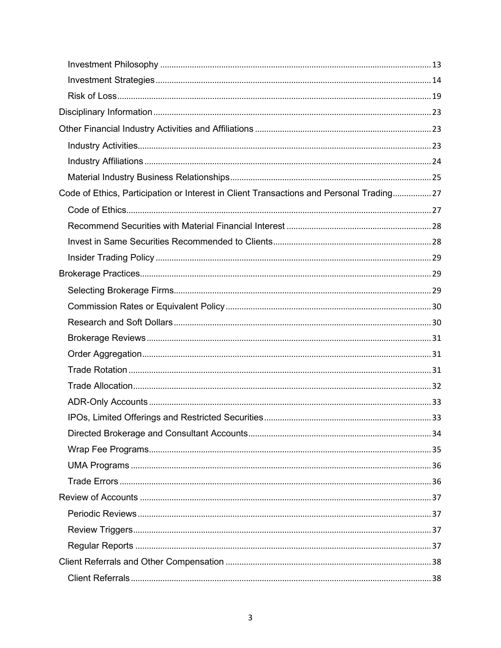| Code of Ethics, Participation or Interest in Client Transactions and Personal Trading 27 |  |
|------------------------------------------------------------------------------------------|--|
|                                                                                          |  |
|                                                                                          |  |
|                                                                                          |  |
|                                                                                          |  |
|                                                                                          |  |
|                                                                                          |  |
|                                                                                          |  |
|                                                                                          |  |
|                                                                                          |  |
|                                                                                          |  |
|                                                                                          |  |
|                                                                                          |  |
|                                                                                          |  |
|                                                                                          |  |
|                                                                                          |  |
|                                                                                          |  |
|                                                                                          |  |
|                                                                                          |  |
|                                                                                          |  |
|                                                                                          |  |
|                                                                                          |  |
|                                                                                          |  |
|                                                                                          |  |
|                                                                                          |  |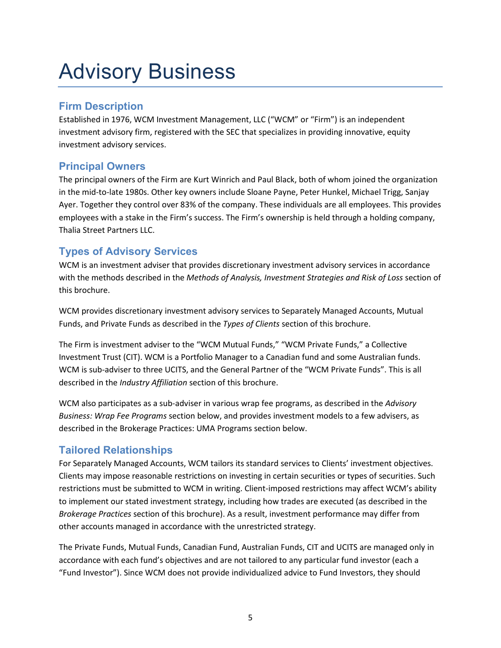# <span id="page-7-0"></span>Advisory Business

# <span id="page-7-1"></span>**Firm Description**

Established in 1976, WCM Investment Management, LLC ("WCM" or "Firm") is an independent investment advisory firm, registered with the SEC that specializes in providing innovative, equity investment advisory services.

# <span id="page-7-2"></span>**Principal Owners**

The principal owners of the Firm are Kurt Winrich and Paul Black, both of whom joined the organization in the mid-to-late 1980s. Other key owners include Sloane Payne, Peter Hunkel, Michael Trigg, Sanjay Ayer. Together they control over 83% of the company. These individuals are all employees. This provides employees with a stake in the Firm's success. The Firm's ownership is held through a holding company, Thalia Street Partners LLC.

# <span id="page-7-3"></span>**Types of Advisory Services**

WCM is an investment adviser that provides discretionary investment advisory services in accordance with the methods described in the *Methods of Analysis, Investment Strategies and Risk of Loss* section of this brochure.

WCM provides discretionary investment advisory services to Separately Managed Accounts, Mutual Funds, and Private Funds as described in the *Types of Clients* section of this brochure.

The Firm is investment adviser to the "WCM Mutual Funds," "WCM Private Funds," a Collective Investment Trust (CIT). WCM is a Portfolio Manager to a Canadian fund and some Australian funds. WCM is sub-adviser to three UCITS, and the General Partner of the "WCM Private Funds". This is all described in the *Industry Affiliation* section of this brochure.

WCM also participates as a sub-adviser in various wrap fee programs, as described in the *Advisory Business: Wrap Fee Programs* section below, and provides investment models to a few advisers, as described in the Brokerage Practices: UMA Programs section below.

# <span id="page-7-4"></span>**Tailored Relationships**

For Separately Managed Accounts, WCM tailors its standard services to Clients' investment objectives. Clients may impose reasonable restrictions on investing in certain securities or types of securities. Such restrictions must be submitted to WCM in writing. Client-imposed restrictions may affect WCM's ability to implement our stated investment strategy, including how trades are executed (as described in the *Brokerage Practices* section of this brochure). As a result, investment performance may differ from other accounts managed in accordance with the unrestricted strategy.

The Private Funds, Mutual Funds, Canadian Fund, Australian Funds, CIT and UCITS are managed only in accordance with each fund's objectives and are not tailored to any particular fund investor (each a "Fund Investor"). Since WCM does not provide individualized advice to Fund Investors, they should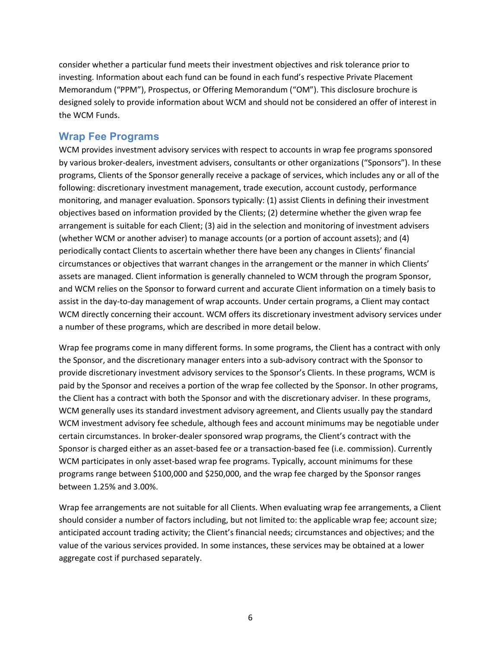consider whether a particular fund meets their investment objectives and risk tolerance prior to investing. Information about each fund can be found in each fund's respective Private Placement Memorandum ("PPM"), Prospectus, or Offering Memorandum ("OM"). This disclosure brochure is designed solely to provide information about WCM and should not be considered an offer of interest in the WCM Funds.

## <span id="page-8-0"></span>**Wrap Fee Programs**

WCM provides investment advisory services with respect to accounts in wrap fee programs sponsored by various broker-dealers, investment advisers, consultants or other organizations ("Sponsors"). In these programs, Clients of the Sponsor generally receive a package of services, which includes any or all of the following: discretionary investment management, trade execution, account custody, performance monitoring, and manager evaluation. Sponsors typically: (1) assist Clients in defining their investment objectives based on information provided by the Clients; (2) determine whether the given wrap fee arrangement is suitable for each Client; (3) aid in the selection and monitoring of investment advisers (whether WCM or another adviser) to manage accounts (or a portion of account assets); and (4) periodically contact Clients to ascertain whether there have been any changes in Clients' financial circumstances or objectives that warrant changes in the arrangement or the manner in which Clients' assets are managed. Client information is generally channeled to WCM through the program Sponsor, and WCM relies on the Sponsor to forward current and accurate Client information on a timely basis to assist in the day-to-day management of wrap accounts. Under certain programs, a Client may contact WCM directly concerning their account. WCM offers its discretionary investment advisory services under a number of these programs, which are described in more detail below.

Wrap fee programs come in many different forms. In some programs, the Client has a contract with only the Sponsor, and the discretionary manager enters into a sub-advisory contract with the Sponsor to provide discretionary investment advisory services to the Sponsor's Clients. In these programs, WCM is paid by the Sponsor and receives a portion of the wrap fee collected by the Sponsor. In other programs, the Client has a contract with both the Sponsor and with the discretionary adviser. In these programs, WCM generally uses its standard investment advisory agreement, and Clients usually pay the standard WCM investment advisory fee schedule, although fees and account minimums may be negotiable under certain circumstances. In broker-dealer sponsored wrap programs, the Client's contract with the Sponsor is charged either as an asset-based fee or a transaction-based fee (i.e. commission). Currently WCM participates in only asset-based wrap fee programs. Typically, account minimums for these programs range between \$100,000 and \$250,000, and the wrap fee charged by the Sponsor ranges between 1.25% and 3.00%.

Wrap fee arrangements are not suitable for all Clients. When evaluating wrap fee arrangements, a Client should consider a number of factors including, but not limited to: the applicable wrap fee; account size; anticipated account trading activity; the Client's financial needs; circumstances and objectives; and the value of the various services provided. In some instances, these services may be obtained at a lower aggregate cost if purchased separately.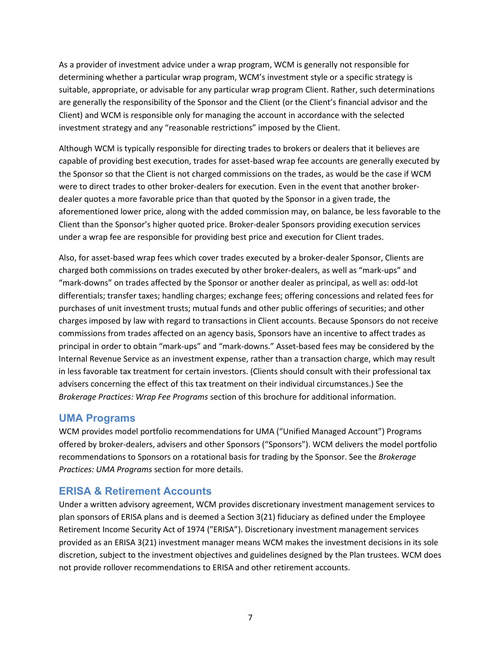As a provider of investment advice under a wrap program, WCM is generally not responsible for determining whether a particular wrap program, WCM's investment style or a specific strategy is suitable, appropriate, or advisable for any particular wrap program Client. Rather, such determinations are generally the responsibility of the Sponsor and the Client (or the Client's financial advisor and the Client) and WCM is responsible only for managing the account in accordance with the selected investment strategy and any "reasonable restrictions" imposed by the Client.

Although WCM is typically responsible for directing trades to brokers or dealers that it believes are capable of providing best execution, trades for asset-based wrap fee accounts are generally executed by the Sponsor so that the Client is not charged commissions on the trades, as would be the case if WCM were to direct trades to other broker-dealers for execution. Even in the event that another brokerdealer quotes a more favorable price than that quoted by the Sponsor in a given trade, the aforementioned lower price, along with the added commission may, on balance, be less favorable to the Client than the Sponsor's higher quoted price. Broker-dealer Sponsors providing execution services under a wrap fee are responsible for providing best price and execution for Client trades.

Also, for asset-based wrap fees which cover trades executed by a broker-dealer Sponsor, Clients are charged both commissions on trades executed by other broker-dealers, as well as "mark-ups" and "mark-downs" on trades affected by the Sponsor or another dealer as principal, as well as: odd-lot differentials; transfer taxes; handling charges; exchange fees; offering concessions and related fees for purchases of unit investment trusts; mutual funds and other public offerings of securities; and other charges imposed by law with regard to transactions in Client accounts. Because Sponsors do not receive commissions from trades affected on an agency basis, Sponsors have an incentive to affect trades as principal in order to obtain "mark-ups" and "mark-downs." Asset-based fees may be considered by the Internal Revenue Service as an investment expense, rather than a transaction charge, which may result in less favorable tax treatment for certain investors. (Clients should consult with their professional tax advisers concerning the effect of this tax treatment on their individual circumstances.) See the *Brokerage Practices: Wrap Fee Programs* section of this brochure for additional information.

## <span id="page-9-0"></span>**UMA Programs**

WCM provides model portfolio recommendations for UMA ("Unified Managed Account") Programs offered by broker-dealers, advisers and other Sponsors ("Sponsors"). WCM delivers the model portfolio recommendations to Sponsors on a rotational basis for trading by the Sponsor. See the *Brokerage Practices: UMA Programs* section for more details.

## <span id="page-9-1"></span>**ERISA & Retirement Accounts**

Under a written advisory agreement, WCM provides discretionary investment management services to plan sponsors of ERISA plans and is deemed a Section 3(21) fiduciary as defined under the Employee Retirement Income Security Act of 1974 ("ERISA"). Discretionary investment management services provided as an ERISA 3(21) investment manager means WCM makes the investment decisions in its sole discretion, subject to the investment objectives and guidelines designed by the Plan trustees. WCM does not provide rollover recommendations to ERISA and other retirement accounts.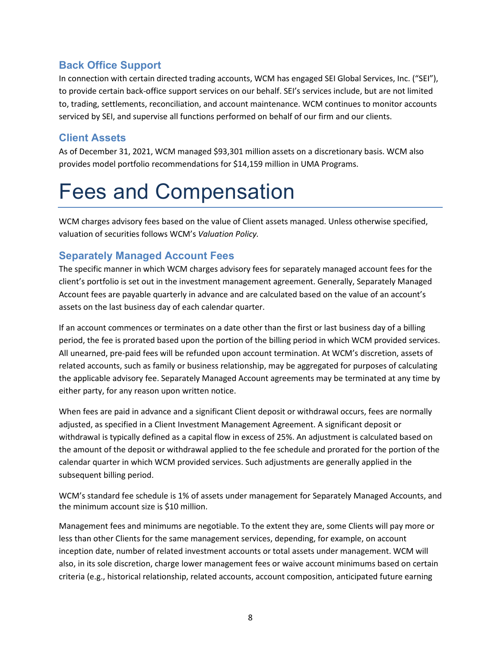## <span id="page-10-0"></span>**Back Office Support**

In connection with certain directed trading accounts, WCM has engaged SEI Global Services, Inc. ("SEI"), to provide certain back-office support services on our behalf. SEI's services include, but are not limited to, trading, settlements, reconciliation, and account maintenance. WCM continues to monitor accounts serviced by SEI, and supervise all functions performed on behalf of our firm and our clients.

# <span id="page-10-1"></span>**Client Assets**

As of December 31, 2021, WCM managed \$93,301 million assets on a discretionary basis. WCM also provides model portfolio recommendations for \$14,159 million in UMA Programs.

# <span id="page-10-2"></span>Fees and Compensation

WCM charges advisory fees based on the value of Client assets managed. Unless otherwise specified, valuation of securities follows WCM's *Valuation Policy.*

## <span id="page-10-3"></span>**Separately Managed Account Fees**

The specific manner in which WCM charges advisory fees for separately managed account fees for the client's portfolio is set out in the investment management agreement. Generally, Separately Managed Account fees are payable quarterly in advance and are calculated based on the value of an account's assets on the last business day of each calendar quarter.

If an account commences or terminates on a date other than the first or last business day of a billing period, the fee is prorated based upon the portion of the billing period in which WCM provided services. All unearned, pre-paid fees will be refunded upon account termination. At WCM's discretion, assets of related accounts, such as family or business relationship, may be aggregated for purposes of calculating the applicable advisory fee. Separately Managed Account agreements may be terminated at any time by either party, for any reason upon written notice.

When fees are paid in advance and a significant Client deposit or withdrawal occurs, fees are normally adjusted, as specified in a Client Investment Management Agreement. A significant deposit or withdrawal is typically defined as a capital flow in excess of 25%. An adjustment is calculated based on the amount of the deposit or withdrawal applied to the fee schedule and prorated for the portion of the calendar quarter in which WCM provided services. Such adjustments are generally applied in the subsequent billing period.

WCM's standard fee schedule is 1% of assets under management for Separately Managed Accounts, and the minimum account size is \$10 million.

Management fees and minimums are negotiable. To the extent they are, some Clients will pay more or less than other Clients for the same management services, depending, for example, on account inception date, number of related investment accounts or total assets under management. WCM will also, in its sole discretion, charge lower management fees or waive account minimums based on certain criteria (e.g., historical relationship, related accounts, account composition, anticipated future earning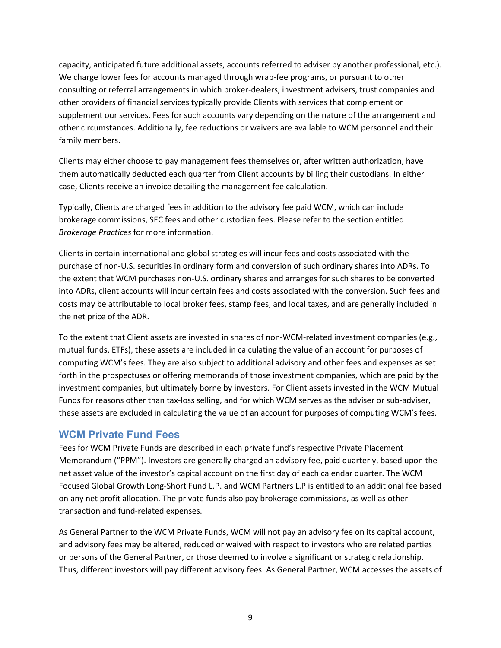capacity, anticipated future additional assets, accounts referred to adviser by another professional, etc.). We charge lower fees for accounts managed through wrap-fee programs, or pursuant to other consulting or referral arrangements in which broker-dealers, investment advisers, trust companies and other providers of financial services typically provide Clients with services that complement or supplement our services. Fees for such accounts vary depending on the nature of the arrangement and other circumstances. Additionally, fee reductions or waivers are available to WCM personnel and their family members.

Clients may either choose to pay management fees themselves or, after written authorization, have them automatically deducted each quarter from Client accounts by billing their custodians. In either case, Clients receive an invoice detailing the management fee calculation.

Typically, Clients are charged fees in addition to the advisory fee paid WCM, which can include brokerage commissions, SEC fees and other custodian fees. Please refer to the section entitled *Brokerage Practices* for more information.

Clients in certain international and global strategies will incur fees and costs associated with the purchase of non-U.S. securities in ordinary form and conversion of such ordinary shares into ADRs. To the extent that WCM purchases non-U.S. ordinary shares and arranges for such shares to be converted into ADRs, client accounts will incur certain fees and costs associated with the conversion. Such fees and costs may be attributable to local broker fees, stamp fees, and local taxes, and are generally included in the net price of the ADR.

To the extent that Client assets are invested in shares of non-WCM-related investment companies (e.g., mutual funds, ETFs), these assets are included in calculating the value of an account for purposes of computing WCM's fees. They are also subject to additional advisory and other fees and expenses as set forth in the prospectuses or offering memoranda of those investment companies, which are paid by the investment companies, but ultimately borne by investors. For Client assets invested in the WCM Mutual Funds for reasons other than tax-loss selling, and for which WCM serves as the adviser or sub-adviser, these assets are excluded in calculating the value of an account for purposes of computing WCM's fees.

## <span id="page-11-0"></span>**WCM Private Fund Fees**

Fees for WCM Private Funds are described in each private fund's respective Private Placement Memorandum ("PPM"). Investors are generally charged an advisory fee, paid quarterly, based upon the net asset value of the investor's capital account on the first day of each calendar quarter. The WCM Focused Global Growth Long-Short Fund L.P. and WCM Partners L.P is entitled to an additional fee based on any net profit allocation. The private funds also pay brokerage commissions, as well as other transaction and fund-related expenses.

As General Partner to the WCM Private Funds, WCM will not pay an advisory fee on its capital account, and advisory fees may be altered, reduced or waived with respect to investors who are related parties or persons of the General Partner, or those deemed to involve a significant or strategic relationship. Thus, different investors will pay different advisory fees. As General Partner, WCM accesses the assets of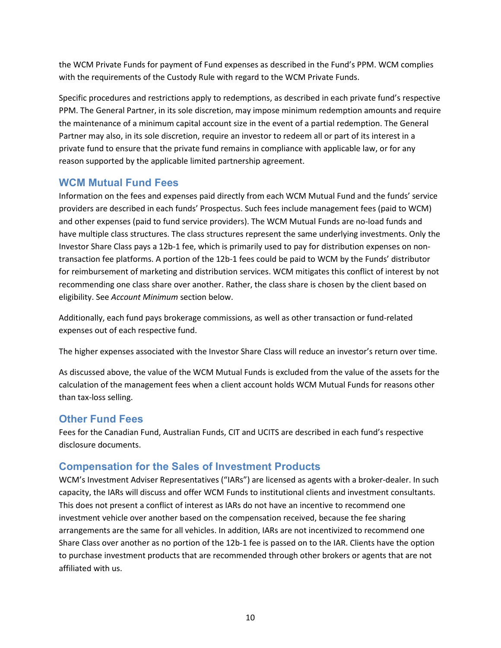the WCM Private Funds for payment of Fund expenses as described in the Fund's PPM. WCM complies with the requirements of the Custody Rule with regard to the WCM Private Funds.

Specific procedures and restrictions apply to redemptions, as described in each private fund's respective PPM. The General Partner, in its sole discretion, may impose minimum redemption amounts and require the maintenance of a minimum capital account size in the event of a partial redemption. The General Partner may also, in its sole discretion, require an investor to redeem all or part of its interest in a private fund to ensure that the private fund remains in compliance with applicable law, or for any reason supported by the applicable limited partnership agreement.

## <span id="page-12-0"></span>**WCM Mutual Fund Fees**

Information on the fees and expenses paid directly from each WCM Mutual Fund and the funds' service providers are described in each funds' Prospectus. Such fees include management fees (paid to WCM) and other expenses (paid to fund service providers). The WCM Mutual Funds are no-load funds and have multiple class structures. The class structures represent the same underlying investments. Only the Investor Share Class pays a 12b-1 fee, which is primarily used to pay for distribution expenses on nontransaction fee platforms. A portion of the 12b-1 fees could be paid to WCM by the Funds' distributor for reimbursement of marketing and distribution services. WCM mitigates this conflict of interest by not recommending one class share over another. Rather, the class share is chosen by the client based on eligibility. See *Account Minimum* section below.

Additionally, each fund pays brokerage commissions, as well as other transaction or fund-related expenses out of each respective fund.

The higher expenses associated with the Investor Share Class will reduce an investor's return over time.

As discussed above, the value of the WCM Mutual Funds is excluded from the value of the assets for the calculation of the management fees when a client account holds WCM Mutual Funds for reasons other than tax-loss selling.

## <span id="page-12-1"></span>**Other Fund Fees**

Fees for the Canadian Fund, Australian Funds, CIT and UCITS are described in each fund's respective disclosure documents.

## <span id="page-12-2"></span>**Compensation for the Sales of Investment Products**

WCM's Investment Adviser Representatives ("IARs") are licensed as agents with a broker-dealer. In such capacity, the IARs will discuss and offer WCM Funds to institutional clients and investment consultants. This does not present a conflict of interest as IARs do not have an incentive to recommend one investment vehicle over another based on the compensation received, because the fee sharing arrangements are the same for all vehicles. In addition, IARs are not incentivized to recommend one Share Class over another as no portion of the 12b-1 fee is passed on to the IAR. Clients have the option to purchase investment products that are recommended through other brokers or agents that are not affiliated with us.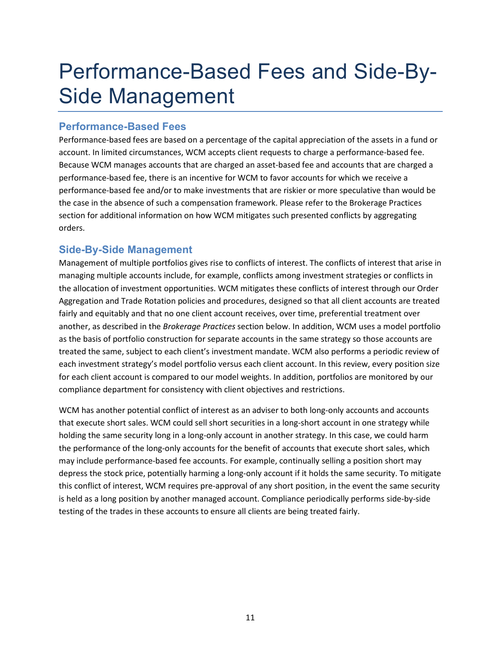# <span id="page-13-0"></span>Performance-Based Fees and Side-By-Side Management

## <span id="page-13-1"></span>**Performance-Based Fees**

Performance-based fees are based on a percentage of the capital appreciation of the assets in a fund or account. In limited circumstances, WCM accepts client requests to charge a performance-based fee. Because WCM manages accounts that are charged an asset-based fee and accounts that are charged a performance-based fee, there is an incentive for WCM to favor accounts for which we receive a performance-based fee and/or to make investments that are riskier or more speculative than would be the case in the absence of such a compensation framework. Please refer to the Brokerage Practices section for additional information on how WCM mitigates such presented conflicts by aggregating orders.

## <span id="page-13-2"></span>**Side-By-Side Management**

Management of multiple portfolios gives rise to conflicts of interest. The conflicts of interest that arise in managing multiple accounts include, for example, conflicts among investment strategies or conflicts in the allocation of investment opportunities. WCM mitigates these conflicts of interest through our Order Aggregation and Trade Rotation policies and procedures, designed so that all client accounts are treated fairly and equitably and that no one client account receives, over time, preferential treatment over another, as described in the *Brokerage Practices* section below. In addition, WCM uses a model portfolio as the basis of portfolio construction for separate accounts in the same strategy so those accounts are treated the same, subject to each client's investment mandate. WCM also performs a periodic review of each investment strategy's model portfolio versus each client account. In this review, every position size for each client account is compared to our model weights. In addition, portfolios are monitored by our compliance department for consistency with client objectives and restrictions.

WCM has another potential conflict of interest as an adviser to both long-only accounts and accounts that execute short sales. WCM could sell short securities in a long-short account in one strategy while holding the same security long in a long-only account in another strategy. In this case, we could harm the performance of the long-only accounts for the benefit of accounts that execute short sales, which may include performance-based fee accounts. For example, continually selling a position short may depress the stock price, potentially harming a long-only account if it holds the same security. To mitigate this conflict of interest, WCM requires pre-approval of any short position, in the event the same security is held as a long position by another managed account. Compliance periodically performs side-by-side testing of the trades in these accounts to ensure all clients are being treated fairly.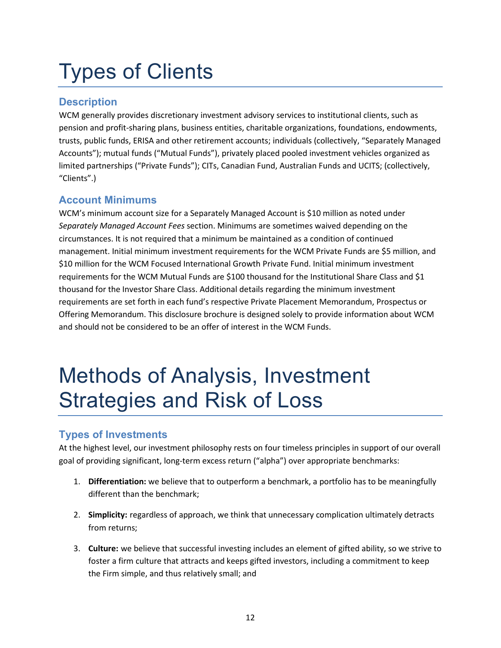# <span id="page-14-0"></span>Types of Clients

# <span id="page-14-1"></span>**Description**

WCM generally provides discretionary investment advisory services to institutional clients, such as pension and profit-sharing plans, business entities, charitable organizations, foundations, endowments, trusts, public funds, ERISA and other retirement accounts; individuals (collectively, "Separately Managed Accounts"); mutual funds ("Mutual Funds"), privately placed pooled investment vehicles organized as limited partnerships ("Private Funds"); CITs, Canadian Fund, Australian Funds and UCITS; (collectively, "Clients".)

# <span id="page-14-2"></span>**Account Minimums**

WCM's minimum account size for a Separately Managed Account is \$10 million as noted under *Separately Managed Account Fees* section. Minimums are sometimes waived depending on the circumstances. It is not required that a minimum be maintained as a condition of continued management. Initial minimum investment requirements for the WCM Private Funds are \$5 million, and \$10 million for the WCM Focused International Growth Private Fund. Initial minimum investment requirements for the WCM Mutual Funds are \$100 thousand for the Institutional Share Class and \$1 thousand for the Investor Share Class. Additional details regarding the minimum investment requirements are set forth in each fund's respective Private Placement Memorandum, Prospectus or Offering Memorandum. This disclosure brochure is designed solely to provide information about WCM and should not be considered to be an offer of interest in the WCM Funds.

# <span id="page-14-3"></span>Methods of Analysis, Investment Strategies and Risk of Loss

# <span id="page-14-4"></span>**Types of Investments**

At the highest level, our investment philosophy rests on four timeless principles in support of our overall goal of providing significant, long-term excess return ("alpha") over appropriate benchmarks:

- 1. **Differentiation:** we believe that to outperform a benchmark, a portfolio has to be meaningfully different than the benchmark;
- 2. **Simplicity:** regardless of approach, we think that unnecessary complication ultimately detracts from returns;
- 3. **Culture:** we believe that successful investing includes an element of gifted ability, so we strive to foster a firm culture that attracts and keeps gifted investors, including a commitment to keep the Firm simple, and thus relatively small; and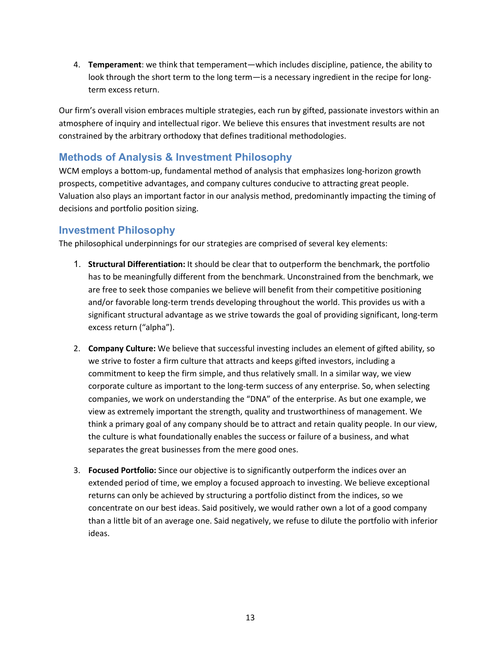4. **Temperament**: we think that temperament—which includes discipline, patience, the ability to look through the short term to the long term—is a necessary ingredient in the recipe for longterm excess return.

Our firm's overall vision embraces multiple strategies, each run by gifted, passionate investors within an atmosphere of inquiry and intellectual rigor. We believe this ensures that investment results are not constrained by the arbitrary orthodoxy that defines traditional methodologies.

# <span id="page-15-0"></span>**Methods of Analysis & Investment Philosophy**

WCM employs a bottom-up, fundamental method of analysis that emphasizes long-horizon growth prospects, competitive advantages, and company cultures conducive to attracting great people. Valuation also plays an important factor in our analysis method, predominantly impacting the timing of decisions and portfolio position sizing.

## <span id="page-15-1"></span>**Investment Philosophy**

The philosophical underpinnings for our strategies are comprised of several key elements:

- 1. **Structural Differentiation:** It should be clear that to outperform the benchmark, the portfolio has to be meaningfully different from the benchmark. Unconstrained from the benchmark, we are free to seek those companies we believe will benefit from their competitive positioning and/or favorable long-term trends developing throughout the world. This provides us with a significant structural advantage as we strive towards the goal of providing significant, long-term excess return ("alpha").
- 2. **Company Culture:** We believe that successful investing includes an element of gifted ability, so we strive to foster a firm culture that attracts and keeps gifted investors, including a commitment to keep the firm simple, and thus relatively small. In a similar way, we view corporate culture as important to the long-term success of any enterprise. So, when selecting companies, we work on understanding the "DNA" of the enterprise. As but one example, we view as extremely important the strength, quality and trustworthiness of management. We think a primary goal of any company should be to attract and retain quality people. In our view, the culture is what foundationally enables the success or failure of a business, and what separates the great businesses from the mere good ones.
- 3. **Focused Portfolio:** Since our objective is to significantly outperform the indices over an extended period of time, we employ a focused approach to investing. We believe exceptional returns can only be achieved by structuring a portfolio distinct from the indices, so we concentrate on our best ideas. Said positively, we would rather own a lot of a good company than a little bit of an average one. Said negatively, we refuse to dilute the portfolio with inferior ideas.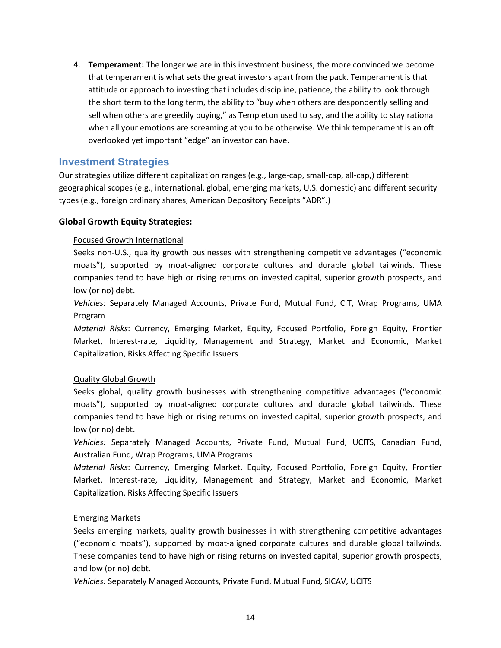4. **Temperament:** The longer we are in this investment business, the more convinced we become that temperament is what sets the great investors apart from the pack. Temperament is that attitude or approach to investing that includes discipline, patience, the ability to look through the short term to the long term, the ability to "buy when others are despondently selling and sell when others are greedily buying," as Templeton used to say, and the ability to stay rational when all your emotions are screaming at you to be otherwise. We think temperament is an oft overlooked yet important "edge" an investor can have.

## <span id="page-16-0"></span>**Investment Strategies**

Our strategies utilize different capitalization ranges (e.g., large-cap, small-cap, all-cap,) different geographical scopes (e.g., international, global, emerging markets, U.S. domestic) and different security types (e.g., foreign ordinary shares, American Depository Receipts "ADR".)

#### **Global Growth Equity Strategies:**

#### Focused Growth International

Seeks non-U.S., quality growth businesses with strengthening competitive advantages ("economic moats"), supported by moat-aligned corporate cultures and durable global tailwinds. These companies tend to have high or rising returns on invested capital, superior growth prospects, and low (or no) debt.

*Vehicles:* Separately Managed Accounts, Private Fund, Mutual Fund, CIT, Wrap Programs, UMA Program

*Material Risks*: Currency, Emerging Market, Equity, Focused Portfolio, Foreign Equity, Frontier Market, Interest-rate, Liquidity, Management and Strategy, Market and Economic, Market Capitalization, Risks Affecting Specific Issuers

### Quality Global Growth

Seeks global, quality growth businesses with strengthening competitive advantages ("economic moats"), supported by moat-aligned corporate cultures and durable global tailwinds. These companies tend to have high or rising returns on invested capital, superior growth prospects, and low (or no) debt.

*Vehicles:* Separately Managed Accounts, Private Fund, Mutual Fund, UCITS, Canadian Fund, Australian Fund, Wrap Programs, UMA Programs

*Material Risks*: Currency, Emerging Market, Equity, Focused Portfolio, Foreign Equity, Frontier Market, Interest-rate, Liquidity, Management and Strategy, Market and Economic, Market Capitalization, Risks Affecting Specific Issuers

#### Emerging Markets

Seeks emerging markets, quality growth businesses in with strengthening competitive advantages ("economic moats"), supported by moat-aligned corporate cultures and durable global tailwinds. These companies tend to have high or rising returns on invested capital, superior growth prospects, and low (or no) debt.

*Vehicles:* Separately Managed Accounts, Private Fund, Mutual Fund, SICAV, UCITS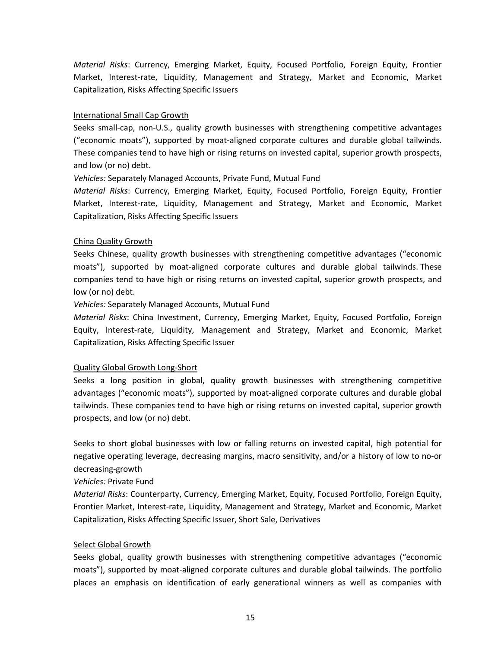*Material Risks*: Currency, Emerging Market, Equity, Focused Portfolio, Foreign Equity, Frontier Market, Interest-rate, Liquidity, Management and Strategy, Market and Economic, Market Capitalization, Risks Affecting Specific Issuers

#### International Small Cap Growth

Seeks small-cap, non-U.S., quality growth businesses with strengthening competitive advantages ("economic moats"), supported by moat-aligned corporate cultures and durable global tailwinds. These companies tend to have high or rising returns on invested capital, superior growth prospects, and low (or no) debt.

*Vehicles:* Separately Managed Accounts, Private Fund, Mutual Fund

*Material Risks*: Currency, Emerging Market, Equity, Focused Portfolio, Foreign Equity, Frontier Market, Interest-rate, Liquidity, Management and Strategy, Market and Economic, Market Capitalization, Risks Affecting Specific Issuers

### China Quality Growth

Seeks Chinese, quality growth businesses with strengthening competitive advantages ("economic moats"), supported by moat-aligned corporate cultures and durable global tailwinds. These companies tend to have high or rising returns on invested capital, superior growth prospects, and low (or no) debt.

*Vehicles:* Separately Managed Accounts, Mutual Fund

*Material Risks*: China Investment, Currency, Emerging Market, Equity, Focused Portfolio, Foreign Equity, Interest-rate, Liquidity, Management and Strategy, Market and Economic, Market Capitalization, Risks Affecting Specific Issuer

#### Quality Global Growth Long-Short

Seeks a long position in global, quality growth businesses with strengthening competitive advantages ("economic moats"), supported by moat-aligned corporate cultures and durable global tailwinds. These companies tend to have high or rising returns on invested capital, superior growth prospects, and low (or no) debt.

Seeks to short global businesses with low or falling returns on invested capital, high potential for negative operating leverage, decreasing margins, macro sensitivity, and/or a history of low to no-or decreasing-growth

*Vehicles:* Private Fund

*Material Risks*: Counterparty, Currency, Emerging Market, Equity, Focused Portfolio, Foreign Equity, Frontier Market, Interest-rate, Liquidity, Management and Strategy, Market and Economic, Market Capitalization, Risks Affecting Specific Issuer, Short Sale, Derivatives

### Select Global Growth

Seeks global, quality growth businesses with strengthening competitive advantages ("economic moats"), supported by moat-aligned corporate cultures and durable global tailwinds. The portfolio places an emphasis on identification of early generational winners as well as companies with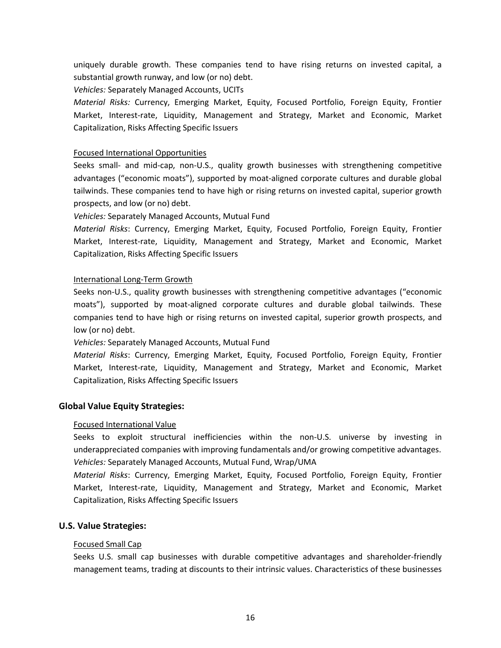uniquely durable growth. These companies tend to have rising returns on invested capital, a substantial growth runway, and low (or no) debt.

*Vehicles:* Separately Managed Accounts, UCITs

*Material Risks:* Currency, Emerging Market, Equity, Focused Portfolio, Foreign Equity, Frontier Market, Interest-rate, Liquidity, Management and Strategy, Market and Economic, Market Capitalization, Risks Affecting Specific Issuers

#### Focused International Opportunities

Seeks small- and mid-cap, non-U.S., quality growth businesses with strengthening competitive advantages ("economic moats"), supported by moat-aligned corporate cultures and durable global tailwinds. These companies tend to have high or rising returns on invested capital, superior growth prospects, and low (or no) debt.

*Vehicles:* Separately Managed Accounts, Mutual Fund

*Material Risks*: Currency, Emerging Market, Equity, Focused Portfolio, Foreign Equity, Frontier Market, Interest-rate, Liquidity, Management and Strategy, Market and Economic, Market Capitalization, Risks Affecting Specific Issuers

#### International Long-Term Growth

Seeks non-U.S., quality growth businesses with strengthening competitive advantages ("economic moats"), supported by moat-aligned corporate cultures and durable global tailwinds. These companies tend to have high or rising returns on invested capital, superior growth prospects, and low (or no) debt.

#### *Vehicles:* Separately Managed Accounts, Mutual Fund

*Material Risks*: Currency, Emerging Market, Equity, Focused Portfolio, Foreign Equity, Frontier Market, Interest-rate, Liquidity, Management and Strategy, Market and Economic, Market Capitalization, Risks Affecting Specific Issuers

### **Global Value Equity Strategies:**

#### Focused International Value

Seeks to exploit structural inefficiencies within the non-U.S. universe by investing in underappreciated companies with improving fundamentals and/or growing competitive advantages. *Vehicles:* Separately Managed Accounts, Mutual Fund, Wrap/UMA

*Material Risks*: Currency, Emerging Market, Equity, Focused Portfolio, Foreign Equity, Frontier Market, Interest-rate, Liquidity, Management and Strategy, Market and Economic, Market Capitalization, Risks Affecting Specific Issuers

### **U.S. Value Strategies:**

#### Focused Small Cap

Seeks U.S. small cap businesses with durable competitive advantages and shareholder-friendly management teams, trading at discounts to their intrinsic values. Characteristics of these businesses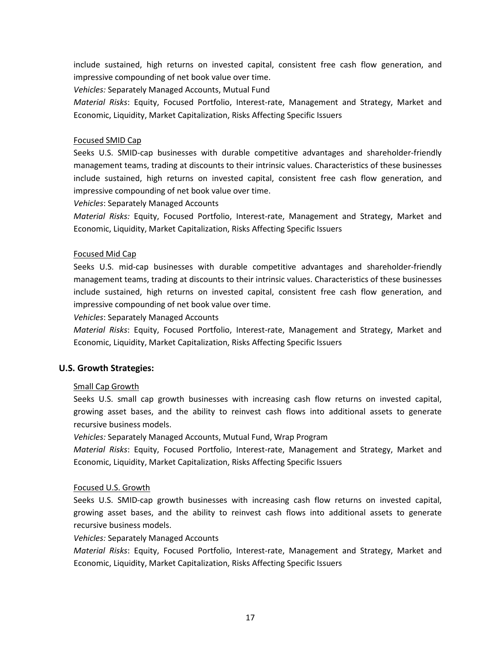include sustained, high returns on invested capital, consistent free cash flow generation, and impressive compounding of net book value over time.

*Vehicles:* Separately Managed Accounts, Mutual Fund

*Material Risks*: Equity, Focused Portfolio, Interest-rate, Management and Strategy, Market and Economic, Liquidity, Market Capitalization, Risks Affecting Specific Issuers

#### Focused SMID Cap

Seeks U.S. SMID-cap businesses with durable competitive advantages and shareholder-friendly management teams, trading at discounts to their intrinsic values. Characteristics of these businesses include sustained, high returns on invested capital, consistent free cash flow generation, and impressive compounding of net book value over time.

*Vehicles*: Separately Managed Accounts

*Material Risks:* Equity, Focused Portfolio, Interest-rate, Management and Strategy, Market and Economic, Liquidity, Market Capitalization, Risks Affecting Specific Issuers

#### Focused Mid Cap

Seeks U.S. mid-cap businesses with durable competitive advantages and shareholder-friendly management teams, trading at discounts to their intrinsic values. Characteristics of these businesses include sustained, high returns on invested capital, consistent free cash flow generation, and impressive compounding of net book value over time.

*Vehicles*: Separately Managed Accounts

*Material Risks*: Equity, Focused Portfolio, Interest-rate, Management and Strategy, Market and Economic, Liquidity, Market Capitalization, Risks Affecting Specific Issuers

### **U.S. Growth Strategies:**

#### Small Cap Growth

Seeks U.S. small cap growth businesses with increasing cash flow returns on invested capital, growing asset bases, and the ability to reinvest cash flows into additional assets to generate recursive business models.

*Vehicles:* Separately Managed Accounts, Mutual Fund, Wrap Program

*Material Risks*: Equity, Focused Portfolio, Interest-rate, Management and Strategy, Market and Economic, Liquidity, Market Capitalization, Risks Affecting Specific Issuers

#### Focused U.S. Growth

Seeks U.S. SMID-cap growth businesses with increasing cash flow returns on invested capital, growing asset bases, and the ability to reinvest cash flows into additional assets to generate recursive business models.

*Vehicles:* Separately Managed Accounts

*Material Risks*: Equity, Focused Portfolio, Interest-rate, Management and Strategy, Market and Economic, Liquidity, Market Capitalization, Risks Affecting Specific Issuers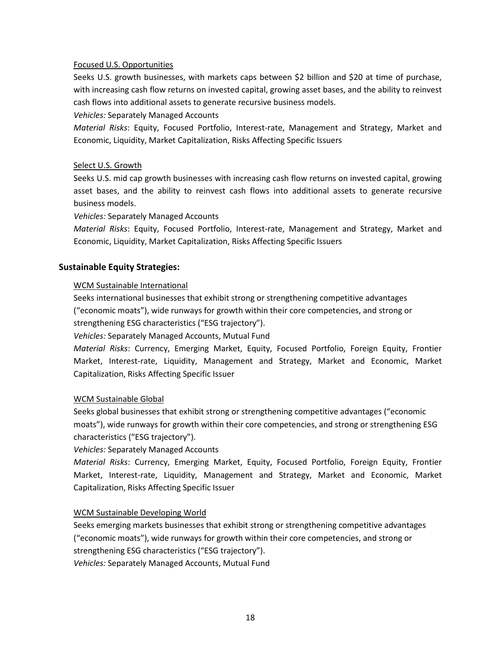#### Focused U.S. Opportunities

Seeks U.S. growth businesses, with markets caps between \$2 billion and \$20 at time of purchase, with increasing cash flow returns on invested capital, growing asset bases, and the ability to reinvest cash flows into additional assets to generate recursive business models.

*Vehicles:* Separately Managed Accounts

*Material Risks*: Equity, Focused Portfolio, Interest-rate, Management and Strategy, Market and Economic, Liquidity, Market Capitalization, Risks Affecting Specific Issuers

#### Select U.S. Growth

Seeks U.S. mid cap growth businesses with increasing cash flow returns on invested capital, growing asset bases, and the ability to reinvest cash flows into additional assets to generate recursive business models.

*Vehicles:* Separately Managed Accounts

*Material Risks*: Equity, Focused Portfolio, Interest-rate, Management and Strategy, Market and Economic, Liquidity, Market Capitalization, Risks Affecting Specific Issuers

#### **Sustainable Equity Strategies:**

#### WCM Sustainable International

Seeks international businesses that exhibit strong or strengthening competitive advantages

("economic moats"), wide runways for growth within their core competencies, and strong or

strengthening ESG characteristics ("ESG trajectory").

*Vehicles:* Separately Managed Accounts, Mutual Fund

*Material Risks*: Currency, Emerging Market, Equity, Focused Portfolio, Foreign Equity, Frontier Market, Interest-rate, Liquidity, Management and Strategy, Market and Economic, Market Capitalization, Risks Affecting Specific Issuer

#### WCM Sustainable Global

Seeks global businesses that exhibit strong or strengthening competitive advantages ("economic moats"), wide runways for growth within their core competencies, and strong or strengthening ESG characteristics ("ESG trajectory").

*Vehicles:* Separately Managed Accounts

*Material Risks*: Currency, Emerging Market, Equity, Focused Portfolio, Foreign Equity, Frontier Market, Interest-rate, Liquidity, Management and Strategy, Market and Economic, Market Capitalization, Risks Affecting Specific Issuer

#### WCM Sustainable Developing World

Seeks emerging markets businesses that exhibit strong or strengthening competitive advantages ("economic moats"), wide runways for growth within their core competencies, and strong or strengthening ESG characteristics ("ESG trajectory").

*Vehicles:* Separately Managed Accounts, Mutual Fund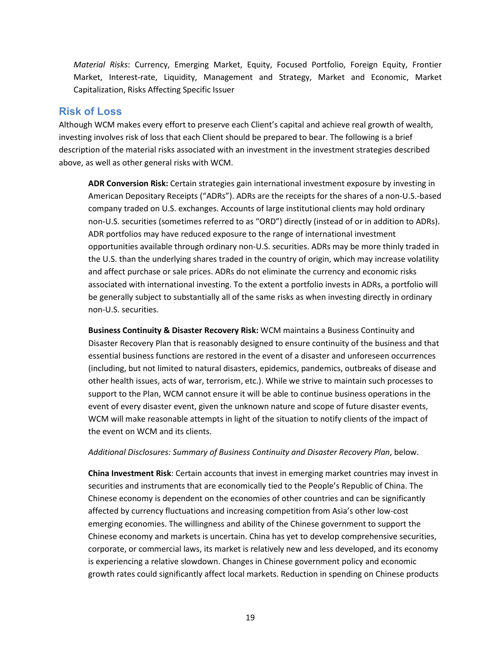*Material Risks*: Currency, Emerging Market, Equity, Focused Portfolio, Foreign Equity, Frontier Market, Interest-rate, Liquidity, Management and Strategy, Market and Economic, Market Capitalization, Risks Affecting Specific Issuer

## <span id="page-21-0"></span>**Risk of Loss**

Although WCM makes every effort to preserve each Client's capital and achieve real growth of wealth, investing involves risk of loss that each Client should be prepared to bear. The following is a brief description of the material risks associated with an investment in the investment strategies described above, as well as other general risks with WCM.

**ADR Conversion Risk:** Certain strategies gain international investment exposure by investing in American Depositary Receipts ("ADRs"). ADRs are the receipts for the shares of a non-U.S.-based company traded on U.S. exchanges. Accounts of large institutional clients may hold ordinary non-U.S. securities (sometimes referred to as "ORD") directly (instead of or in addition to ADRs). ADR portfolios may have reduced exposure to the range of international investment opportunities available through ordinary non-U.S. securities. ADRs may be more thinly traded in the U.S. than the underlying shares traded in the country of origin, which may increase volatility and affect purchase or sale prices. ADRs do not eliminate the currency and economic risks associated with international investing. To the extent a portfolio invests in ADRs, a portfolio will be generally subject to substantially all of the same risks as when investing directly in ordinary non-U.S. securities.

**Business Continuity & Disaster Recovery Risk:** WCM maintains a Business Continuity and Disaster Recovery Plan that is reasonably designed to ensure continuity of the business and that essential business functions are restored in the event of a disaster and unforeseen occurrences (including, but not limited to natural disasters, epidemics, pandemics, outbreaks of disease and other health issues, acts of war, terrorism, etc.). While we strive to maintain such processes to support to the Plan, WCM cannot ensure it will be able to continue business operations in the event of every disaster event, given the unknown nature and scope of future disaster events, WCM will make reasonable attempts in light of the situation to notify clients of the impact of the event on WCM and its clients.

#### *Additional Disclosures: Summary of Business Continuity and Disaster Recovery Plan*, below.

**China Investment Risk**: Certain accounts that invest in emerging market countries may invest in securities and instruments that are economically tied to the People's Republic of China. The Chinese economy is dependent on the economies of other countries and can be significantly affected by currency fluctuations and increasing competition from Asia's other low-cost emerging economies. The willingness and ability of the Chinese government to support the Chinese economy and markets is uncertain. China has yet to develop comprehensive securities, corporate, or commercial laws, its market is relatively new and less developed, and its economy is experiencing a relative slowdown. Changes in Chinese government policy and economic growth rates could significantly affect local markets. Reduction in spending on Chinese products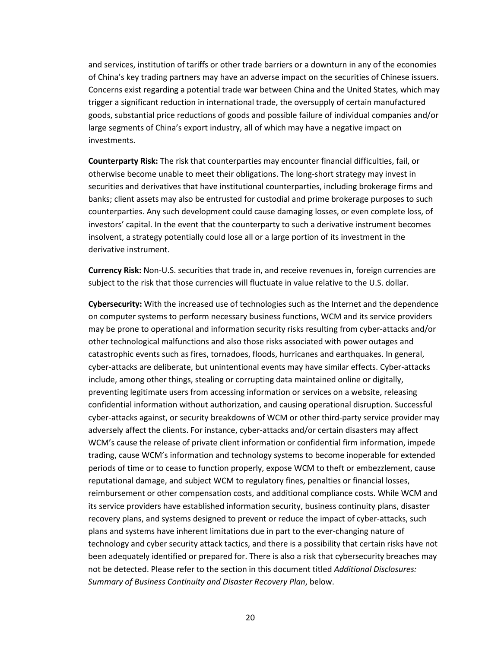and services, institution of tariffs or other trade barriers or a downturn in any of the economies of China's key trading partners may have an adverse impact on the securities of Chinese issuers. Concerns exist regarding a potential trade war between China and the United States, which may trigger a significant reduction in international trade, the oversupply of certain manufactured goods, substantial price reductions of goods and possible failure of individual companies and/or large segments of China's export industry, all of which may have a negative impact on investments.

**Counterparty Risk:** The risk that counterparties may encounter financial difficulties, fail, or otherwise become unable to meet their obligations. The long-short strategy may invest in securities and derivatives that have institutional counterparties, including brokerage firms and banks; client assets may also be entrusted for custodial and prime brokerage purposes to such counterparties. Any such development could cause damaging losses, or even complete loss, of investors' capital. In the event that the counterparty to such a derivative instrument becomes insolvent, a strategy potentially could lose all or a large portion of its investment in the derivative instrument.

**Currency Risk:** Non-U.S. securities that trade in, and receive revenues in, foreign currencies are subject to the risk that those currencies will fluctuate in value relative to the U.S. dollar.

**Cybersecurity:** With the increased use of technologies such as the Internet and the dependence on computer systems to perform necessary business functions, WCM and its service providers may be prone to operational and information security risks resulting from cyber-attacks and/or other technological malfunctions and also those risks associated with power outages and catastrophic events such as fires, tornadoes, floods, hurricanes and earthquakes. In general, cyber-attacks are deliberate, but unintentional events may have similar effects. Cyber-attacks include, among other things, stealing or corrupting data maintained online or digitally, preventing legitimate users from accessing information or services on a website, releasing confidential information without authorization, and causing operational disruption. Successful cyber-attacks against, or security breakdowns of WCM or other third-party service provider may adversely affect the clients. For instance, cyber-attacks and/or certain disasters may affect WCM's cause the release of private client information or confidential firm information, impede trading, cause WCM's information and technology systems to become inoperable for extended periods of time or to cease to function properly, expose WCM to theft or embezzlement, cause reputational damage, and subject WCM to regulatory fines, penalties or financial losses, reimbursement or other compensation costs, and additional compliance costs. While WCM and its service providers have established information security, business continuity plans, disaster recovery plans, and systems designed to prevent or reduce the impact of cyber-attacks, such plans and systems have inherent limitations due in part to the ever-changing nature of technology and cyber security attack tactics, and there is a possibility that certain risks have not been adequately identified or prepared for. There is also a risk that cybersecurity breaches may not be detected. Please refer to the section in this document titled *Additional Disclosures: Summary of Business Continuity and Disaster Recovery Plan*, below.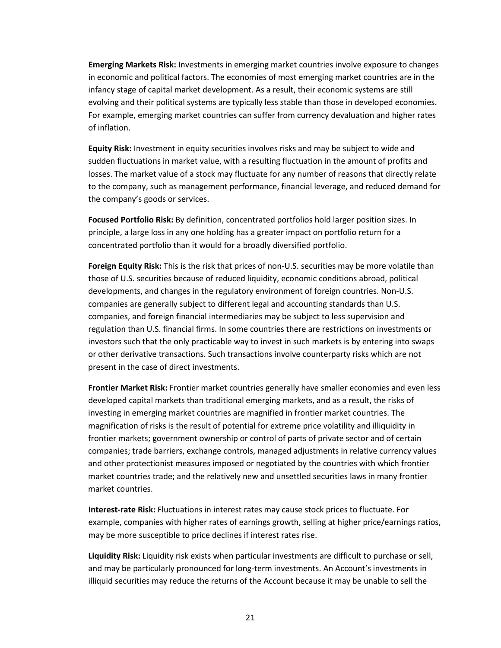**Emerging Markets Risk:** Investments in emerging market countries involve exposure to changes in economic and political factors. The economies of most emerging market countries are in the infancy stage of capital market development. As a result, their economic systems are still evolving and their political systems are typically less stable than those in developed economies. For example, emerging market countries can suffer from currency devaluation and higher rates of inflation.

**Equity Risk:** Investment in equity securities involves risks and may be subject to wide and sudden fluctuations in market value, with a resulting fluctuation in the amount of profits and losses. The market value of a stock may fluctuate for any number of reasons that directly relate to the company, such as management performance, financial leverage, and reduced demand for the company's goods or services.

**Focused Portfolio Risk:** By definition, concentrated portfolios hold larger position sizes. In principle, a large loss in any one holding has a greater impact on portfolio return for a concentrated portfolio than it would for a broadly diversified portfolio.

**Foreign Equity Risk:** This is the risk that prices of non-U.S. securities may be more volatile than those of U.S. securities because of reduced liquidity, economic conditions abroad, political developments, and changes in the regulatory environment of foreign countries. Non-U.S. companies are generally subject to different legal and accounting standards than U.S. companies, and foreign financial intermediaries may be subject to less supervision and regulation than U.S. financial firms. In some countries there are restrictions on investments or investors such that the only practicable way to invest in such markets is by entering into swaps or other derivative transactions. Such transactions involve counterparty risks which are not present in the case of direct investments.

**Frontier Market Risk:** Frontier market countries generally have smaller economies and even less developed capital markets than traditional emerging markets, and as a result, the risks of investing in emerging market countries are magnified in frontier market countries. The magnification of risks is the result of potential for extreme price volatility and illiquidity in frontier markets; government ownership or control of parts of private sector and of certain companies; trade barriers, exchange controls, managed adjustments in relative currency values and other protectionist measures imposed or negotiated by the countries with which frontier market countries trade; and the relatively new and unsettled securities laws in many frontier market countries.

**Interest-rate Risk:** Fluctuations in interest rates may cause stock prices to fluctuate. For example, companies with higher rates of earnings growth, selling at higher price/earnings ratios, may be more susceptible to price declines if interest rates rise.

**Liquidity Risk:** Liquidity risk exists when particular investments are difficult to purchase or sell, and may be particularly pronounced for long-term investments. An Account's investments in illiquid securities may reduce the returns of the Account because it may be unable to sell the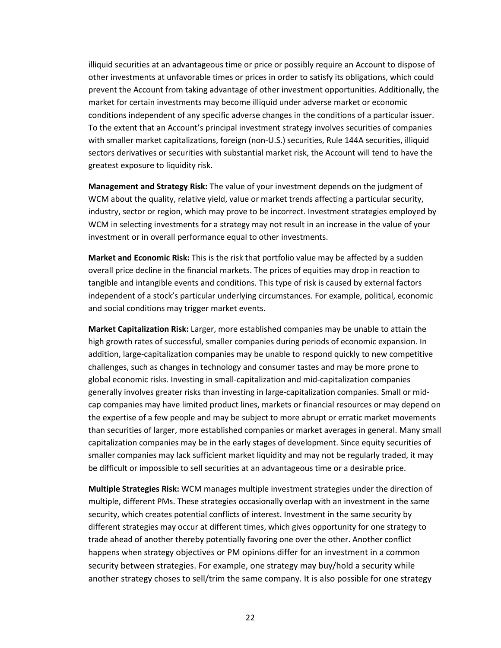illiquid securities at an advantageous time or price or possibly require an Account to dispose of other investments at unfavorable times or prices in order to satisfy its obligations, which could prevent the Account from taking advantage of other investment opportunities. Additionally, the market for certain investments may become illiquid under adverse market or economic conditions independent of any specific adverse changes in the conditions of a particular issuer. To the extent that an Account's principal investment strategy involves securities of companies with smaller market capitalizations, foreign (non-U.S.) securities, Rule 144A securities, illiquid sectors derivatives or securities with substantial market risk, the Account will tend to have the greatest exposure to liquidity risk.

**Management and Strategy Risk:** The value of your investment depends on the judgment of WCM about the quality, relative yield, value or market trends affecting a particular security, industry, sector or region, which may prove to be incorrect. Investment strategies employed by WCM in selecting investments for a strategy may not result in an increase in the value of your investment or in overall performance equal to other investments.

**Market and Economic Risk:** This is the risk that portfolio value may be affected by a sudden overall price decline in the financial markets. The prices of equities may drop in reaction to tangible and intangible events and conditions. This type of risk is caused by external factors independent of a stock's particular underlying circumstances. For example, political, economic and social conditions may trigger market events.

**Market Capitalization Risk:** Larger, more established companies may be unable to attain the high growth rates of successful, smaller companies during periods of economic expansion. In addition, large-capitalization companies may be unable to respond quickly to new competitive challenges, such as changes in technology and consumer tastes and may be more prone to global economic risks. Investing in small-capitalization and mid-capitalization companies generally involves greater risks than investing in large-capitalization companies. Small or midcap companies may have limited product lines, markets or financial resources or may depend on the expertise of a few people and may be subject to more abrupt or erratic market movements than securities of larger, more established companies or market averages in general. Many small capitalization companies may be in the early stages of development. Since equity securities of smaller companies may lack sufficient market liquidity and may not be regularly traded, it may be difficult or impossible to sell securities at an advantageous time or a desirable price.

**Multiple Strategies Risk:** WCM manages multiple investment strategies under the direction of multiple, different PMs. These strategies occasionally overlap with an investment in the same security, which creates potential conflicts of interest. Investment in the same security by different strategies may occur at different times, which gives opportunity for one strategy to trade ahead of another thereby potentially favoring one over the other. Another conflict happens when strategy objectives or PM opinions differ for an investment in a common security between strategies. For example, one strategy may buy/hold a security while another strategy choses to sell/trim the same company. It is also possible for one strategy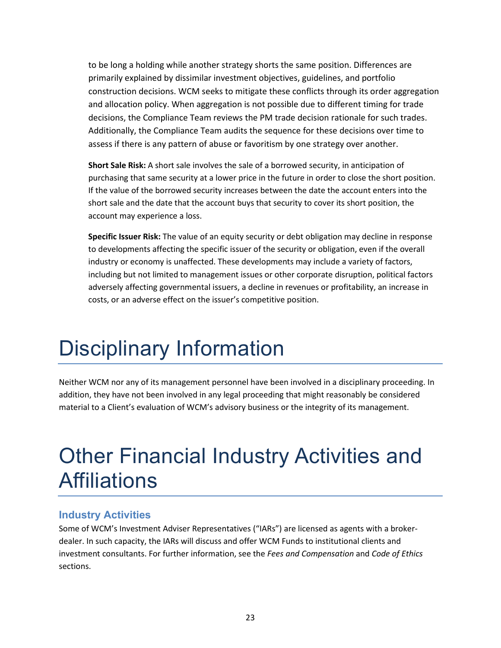to be long a holding while another strategy shorts the same position. Differences are primarily explained by dissimilar investment objectives, guidelines, and portfolio construction decisions. WCM seeks to mitigate these conflicts through its order aggregation and allocation policy. When aggregation is not possible due to different timing for trade decisions, the Compliance Team reviews the PM trade decision rationale for such trades. Additionally, the Compliance Team audits the sequence for these decisions over time to assess if there is any pattern of abuse or favoritism by one strategy over another.

**Short Sale Risk:** A short sale involves the sale of a borrowed security, in anticipation of purchasing that same security at a lower price in the future in order to close the short position. If the value of the borrowed security increases between the date the account enters into the short sale and the date that the account buys that security to cover its short position, the account may experience a loss.

**Specific Issuer Risk:** The value of an equity security or debt obligation may decline in response to developments affecting the specific issuer of the security or obligation, even if the overall industry or economy is unaffected. These developments may include a variety of factors, including but not limited to management issues or other corporate disruption, political factors adversely affecting governmental issuers, a decline in revenues or profitability, an increase in costs, or an adverse effect on the issuer's competitive position.

# <span id="page-25-0"></span>Disciplinary Information

Neither WCM nor any of its management personnel have been involved in a disciplinary proceeding. In addition, they have not been involved in any legal proceeding that might reasonably be considered material to a Client's evaluation of WCM's advisory business or the integrity of its management.

# <span id="page-25-1"></span>Other Financial Industry Activities and **Affiliations**

## <span id="page-25-2"></span>**Industry Activities**

Some of WCM's Investment Adviser Representatives ("IARs") are licensed as agents with a brokerdealer. In such capacity, the IARs will discuss and offer WCM Funds to institutional clients and investment consultants. For further information, see the *Fees and Compensation* and *Code of Ethics* sections.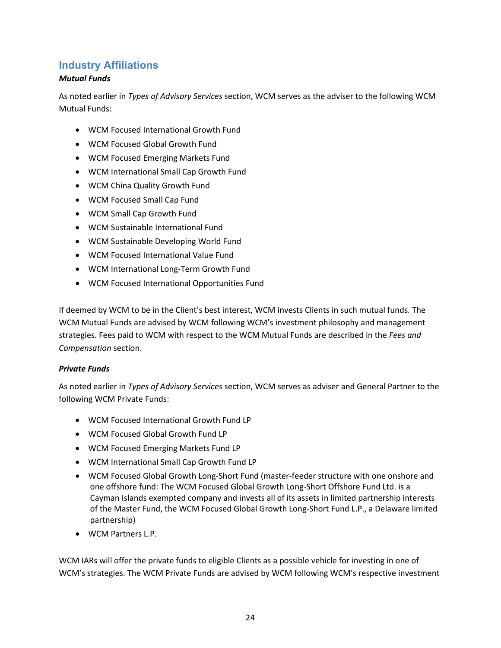## <span id="page-26-0"></span>**Industry Affiliations**

## *Mutual Funds*

As noted earlier in *Types of Advisory Services* section, WCM serves as the adviser to the following WCM Mutual Funds:

- WCM Focused International Growth Fund
- WCM Focused Global Growth Fund
- WCM Focused Emerging Markets Fund
- WCM International Small Cap Growth Fund
- WCM China Quality Growth Fund
- WCM Focused Small Cap Fund
- WCM Small Cap Growth Fund
- WCM Sustainable International Fund
- WCM Sustainable Developing World Fund
- WCM Focused International Value Fund
- WCM International Long-Term Growth Fund
- WCM Focused International Opportunities Fund

If deemed by WCM to be in the Client's best interest, WCM invests Clients in such mutual funds. The WCM Mutual Funds are advised by WCM following WCM's investment philosophy and management strategies. Fees paid to WCM with respect to the WCM Mutual Funds are described in the *Fees and Compensation* section.

### *Private Funds*

As noted earlier in *Types of Advisory Services* section, WCM serves as adviser and General Partner to the following WCM Private Funds:

- WCM Focused International Growth Fund LP
- WCM Focused Global Growth Fund LP
- WCM Focused Emerging Markets Fund LP
- WCM International Small Cap Growth Fund LP
- WCM Focused Global Growth Long-Short Fund (master-feeder structure with one onshore and one offshore fund: The WCM Focused Global Growth Long-Short Offshore Fund Ltd. is a Cayman Islands exempted company and invests all of its assets in limited partnership interests of the Master Fund, the WCM Focused Global Growth Long-Short Fund L.P., a Delaware limited partnership)
- WCM Partners L.P.

WCM IARs will offer the private funds to eligible Clients as a possible vehicle for investing in one of WCM's strategies. The WCM Private Funds are advised by WCM following WCM's respective investment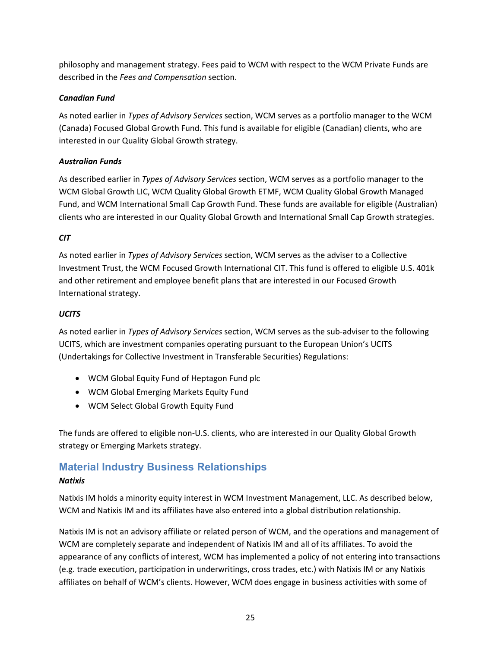philosophy and management strategy. Fees paid to WCM with respect to the WCM Private Funds are described in the *Fees and Compensation* section.

## *Canadian Fund*

As noted earlier in *Types of Advisory Services* section, WCM serves as a portfolio manager to the WCM (Canada) Focused Global Growth Fund. This fund is available for eligible (Canadian) clients, who are interested in our Quality Global Growth strategy.

## *Australian Funds*

As described earlier in *Types of Advisory Services* section, WCM serves as a portfolio manager to the WCM Global Growth LIC, WCM Quality Global Growth ETMF, WCM Quality Global Growth Managed Fund, and WCM International Small Cap Growth Fund. These funds are available for eligible (Australian) clients who are interested in our Quality Global Growth and International Small Cap Growth strategies.

## *CIT*

As noted earlier in *Types of Advisory Services* section, WCM serves as the adviser to a Collective Investment Trust, the WCM Focused Growth International CIT. This fund is offered to eligible U.S. 401k and other retirement and employee benefit plans that are interested in our Focused Growth International strategy.

## *UCITS*

As noted earlier in *Types of Advisory Services* section, WCM serves as the sub-adviser to the following UCITS, which are investment companies operating pursuant to the European Union's UCITS (Undertakings for Collective Investment in Transferable Securities) Regulations:

- WCM Global Equity Fund of Heptagon Fund plc
- WCM Global Emerging Markets Equity Fund
- WCM Select Global Growth Equity Fund

The funds are offered to eligible non-U.S. clients, who are interested in our Quality Global Growth strategy or Emerging Markets strategy.

# <span id="page-27-0"></span>**Material Industry Business Relationships**

## *Natixis*

Natixis IM holds a minority equity interest in WCM Investment Management, LLC. As described below, WCM and Natixis IM and its affiliates have also entered into a global distribution relationship.

Natixis IM is not an advisory affiliate or related person of WCM, and the operations and management of WCM are completely separate and independent of Natixis IM and all of its affiliates. To avoid the appearance of any conflicts of interest, WCM has implemented a policy of not entering into transactions (e.g. trade execution, participation in underwritings, cross trades, etc.) with Natixis IM or any Natixis affiliates on behalf of WCM's clients. However, WCM does engage in business activities with some of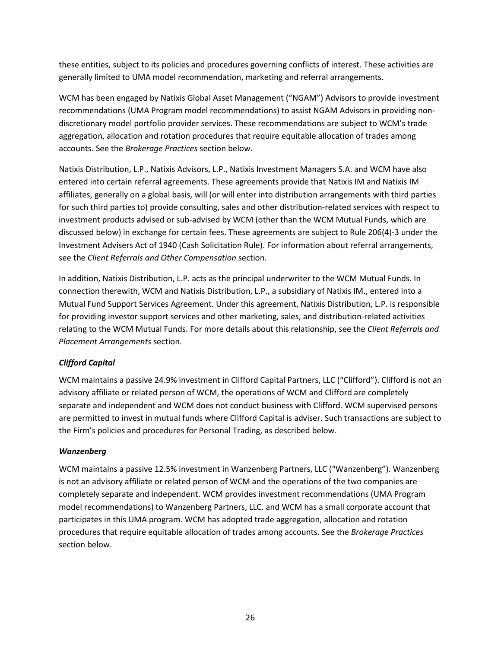these entities, subject to its policies and procedures governing conflicts of interest. These activities are generally limited to UMA model recommendation, marketing and referral arrangements.

WCM has been engaged by Natixis Global Asset Management ("NGAM") Advisors to provide investment recommendations (UMA Program model recommendations) to assist NGAM Advisors in providing nondiscretionary model portfolio provider services. These recommendations are subject to WCM's trade aggregation, allocation and rotation procedures that require equitable allocation of trades among accounts. See the *Brokerage Practices* section below.

Natixis Distribution, L.P., Natixis Advisors, L.P., Natixis Investment Managers S.A. and WCM have also entered into certain referral agreements. These agreements provide that Natixis IM and Natixis IM affiliates, generally on a global basis, will (or will enter into distribution arrangements with third parties for such third parties to) provide consulting, sales and other distribution-related services with respect to investment products advised or sub-advised by WCM (other than the WCM Mutual Funds, which are discussed below) in exchange for certain fees. These agreements are subject to Rule 206(4)-3 under the Investment Advisers Act of 1940 (Cash Solicitation Rule). For information about referral arrangements, see the *Client Referrals and Other Compensation* section.

In addition, Natixis Distribution, L.P. acts as the principal underwriter to the WCM Mutual Funds. In connection therewith, WCM and Natixis Distribution, L.P., a subsidiary of Natixis IM., entered into a Mutual Fund Support Services Agreement. Under this agreement, Natixis Distribution, L.P. is responsible for providing investor support services and other marketing, sales, and distribution-related activities relating to the WCM Mutual Funds. For more details about this relationship, see the *Client Referrals and Placement Arrangements* section.

## *Clifford Capital*

WCM maintains a passive 24.9% investment in Clifford Capital Partners, LLC ("Clifford"). Clifford is not an advisory affiliate or related person of WCM, the operations of WCM and Clifford are completely separate and independent and WCM does not conduct business with Clifford. WCM supervised persons are permitted to invest in mutual funds where Clifford Capital is adviser. Such transactions are subject to the Firm's policies and procedures for Personal Trading, as described below.

### *Wanzenberg*

WCM maintains a passive 12.5% investment in Wanzenberg Partners, LLC ("Wanzenberg"). Wanzenberg is not an advisory affiliate or related person of WCM and the operations of the two companies are completely separate and independent. WCM provides investment recommendations (UMA Program model recommendations) to Wanzenberg Partners, LLC. and WCM has a small corporate account that participates in this UMA program. WCM has adopted trade aggregation, allocation and rotation procedures that require equitable allocation of trades among accounts. See the *Brokerage Practices* section below.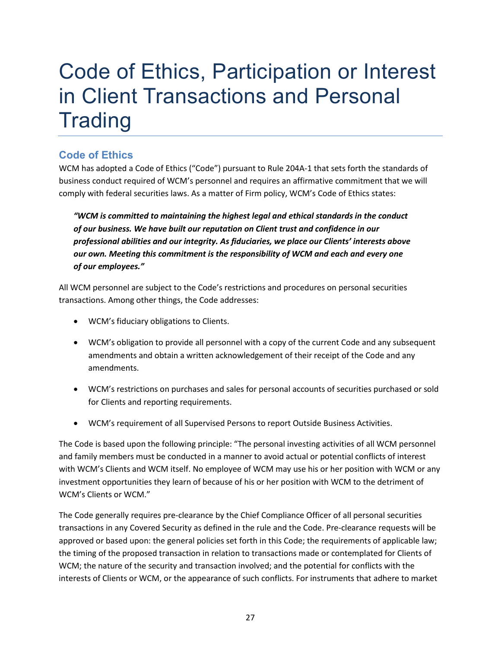# <span id="page-29-0"></span>Code of Ethics, Participation or Interest in Client Transactions and Personal **Trading**

# <span id="page-29-1"></span>**Code of Ethics**

WCM has adopted a Code of Ethics ("Code") pursuant to Rule 204A-1 that sets forth the standards of business conduct required of WCM's personnel and requires an affirmative commitment that we will comply with federal securities laws. As a matter of Firm policy, WCM's Code of Ethics states:

*"WCM is committed to maintaining the highest legal and ethical standards in the conduct of our business. We have built our reputation on Client trust and confidence in our professional abilities and our integrity. As fiduciaries, we place our Clients' interests above our own. Meeting this commitment is the responsibility of WCM and each and every one of our employees."*

All WCM personnel are subject to the Code's restrictions and procedures on personal securities transactions. Among other things, the Code addresses:

- WCM's fiduciary obligations to Clients.
- WCM's obligation to provide all personnel with a copy of the current Code and any subsequent amendments and obtain a written acknowledgement of their receipt of the Code and any amendments.
- WCM's restrictions on purchases and sales for personal accounts of securities purchased or sold for Clients and reporting requirements.
- WCM's requirement of all Supervised Persons to report Outside Business Activities.

The Code is based upon the following principle: "The personal investing activities of all WCM personnel and family members must be conducted in a manner to avoid actual or potential conflicts of interest with WCM's Clients and WCM itself. No employee of WCM may use his or her position with WCM or any investment opportunities they learn of because of his or her position with WCM to the detriment of WCM's Clients or WCM."

The Code generally requires pre-clearance by the Chief Compliance Officer of all personal securities transactions in any Covered Security as defined in the rule and the Code. Pre-clearance requests will be approved or based upon: the general policies set forth in this Code; the requirements of applicable law; the timing of the proposed transaction in relation to transactions made or contemplated for Clients of WCM; the nature of the security and transaction involved; and the potential for conflicts with the interests of Clients or WCM, or the appearance of such conflicts. For instruments that adhere to market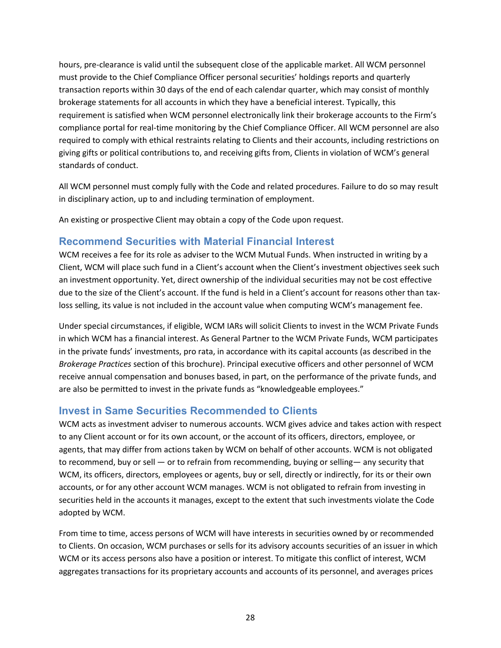hours, pre-clearance is valid until the subsequent close of the applicable market. All WCM personnel must provide to the Chief Compliance Officer personal securities' holdings reports and quarterly transaction reports within 30 days of the end of each calendar quarter, which may consist of monthly brokerage statements for all accounts in which they have a beneficial interest. Typically, this requirement is satisfied when WCM personnel electronically link their brokerage accounts to the Firm's compliance portal for real-time monitoring by the Chief Compliance Officer. All WCM personnel are also required to comply with ethical restraints relating to Clients and their accounts, including restrictions on giving gifts or political contributions to, and receiving gifts from, Clients in violation of WCM's general standards of conduct.

All WCM personnel must comply fully with the Code and related procedures. Failure to do so may result in disciplinary action, up to and including termination of employment.

An existing or prospective Client may obtain a copy of the Code upon request.

## <span id="page-30-0"></span>**Recommend Securities with Material Financial Interest**

WCM receives a fee for its role as adviser to the WCM Mutual Funds. When instructed in writing by a Client, WCM will place such fund in a Client's account when the Client's investment objectives seek such an investment opportunity. Yet, direct ownership of the individual securities may not be cost effective due to the size of the Client's account. If the fund is held in a Client's account for reasons other than taxloss selling, its value is not included in the account value when computing WCM's management fee.

Under special circumstances, if eligible, WCM IARs will solicit Clients to invest in the WCM Private Funds in which WCM has a financial interest. As General Partner to the WCM Private Funds, WCM participates in the private funds' investments, pro rata, in accordance with its capital accounts (as described in the *Brokerage Practices* section of this brochure). Principal executive officers and other personnel of WCM receive annual compensation and bonuses based, in part, on the performance of the private funds, and are also be permitted to invest in the private funds as "knowledgeable employees."

## <span id="page-30-1"></span>**Invest in Same Securities Recommended to Clients**

WCM acts as investment adviser to numerous accounts. WCM gives advice and takes action with respect to any Client account or for its own account, or the account of its officers, directors, employee, or agents, that may differ from actions taken by WCM on behalf of other accounts. WCM is not obligated to recommend, buy or sell — or to refrain from recommending, buying or selling— any security that WCM, its officers, directors, employees or agents, buy or sell, directly or indirectly, for its or their own accounts, or for any other account WCM manages. WCM is not obligated to refrain from investing in securities held in the accounts it manages, except to the extent that such investments violate the Code adopted by WCM.

From time to time, access persons of WCM will have interests in securities owned by or recommended to Clients. On occasion, WCM purchases or sells for its advisory accounts securities of an issuer in which WCM or its access persons also have a position or interest. To mitigate this conflict of interest, WCM aggregates transactions for its proprietary accounts and accounts of its personnel, and averages prices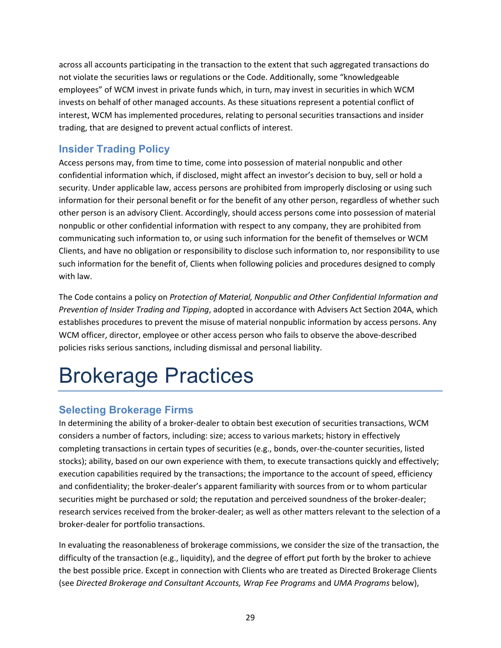across all accounts participating in the transaction to the extent that such aggregated transactions do not violate the securities laws or regulations or the Code. Additionally, some "knowledgeable employees" of WCM invest in private funds which, in turn, may invest in securities in which WCM invests on behalf of other managed accounts. As these situations represent a potential conflict of interest, WCM has implemented procedures, relating to personal securities transactions and insider trading, that are designed to prevent actual conflicts of interest.

# <span id="page-31-0"></span>**Insider Trading Policy**

Access persons may, from time to time, come into possession of material nonpublic and other confidential information which, if disclosed, might affect an investor's decision to buy, sell or hold a security. Under applicable law, access persons are prohibited from improperly disclosing or using such information for their personal benefit or for the benefit of any other person, regardless of whether such other person is an advisory Client. Accordingly, should access persons come into possession of material nonpublic or other confidential information with respect to any company, they are prohibited from communicating such information to, or using such information for the benefit of themselves or WCM Clients, and have no obligation or responsibility to disclose such information to, nor responsibility to use such information for the benefit of, Clients when following policies and procedures designed to comply with law.

The Code contains a policy on *Protection of Material, Nonpublic and Other Confidential Information and Prevention of Insider Trading and Tipping*, adopted in accordance with Advisers Act Section 204A, which establishes procedures to prevent the misuse of material nonpublic information by access persons. Any WCM officer, director, employee or other access person who fails to observe the above-described policies risks serious sanctions, including dismissal and personal liability.

# <span id="page-31-1"></span>Brokerage Practices

# <span id="page-31-2"></span>**Selecting Brokerage Firms**

In determining the ability of a broker-dealer to obtain best execution of securities transactions, WCM considers a number of factors, including: size; access to various markets; history in effectively completing transactions in certain types of securities (e.g., bonds, over-the-counter securities, listed stocks); ability, based on our own experience with them, to execute transactions quickly and effectively; execution capabilities required by the transactions; the importance to the account of speed, efficiency and confidentiality; the broker-dealer's apparent familiarity with sources from or to whom particular securities might be purchased or sold; the reputation and perceived soundness of the broker-dealer; research services received from the broker-dealer; as well as other matters relevant to the selection of a broker-dealer for portfolio transactions.

In evaluating the reasonableness of brokerage commissions, we consider the size of the transaction, the difficulty of the transaction (e.g., liquidity), and the degree of effort put forth by the broker to achieve the best possible price. Except in connection with Clients who are treated as Directed Brokerage Clients (see *Directed Brokerage and Consultant Accounts, Wrap Fee Programs* and *UMA Programs* below),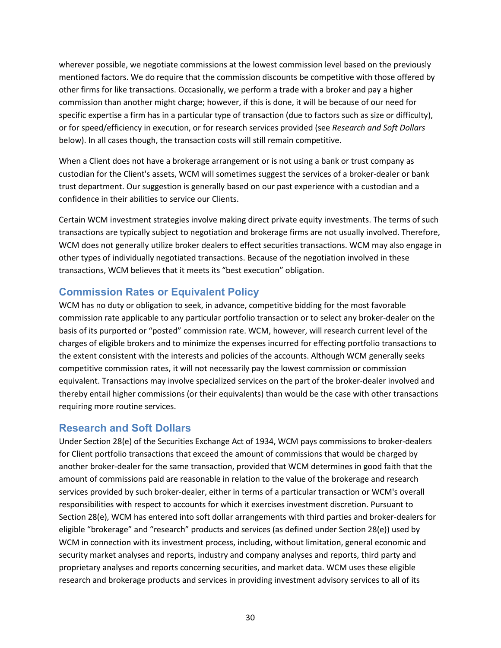wherever possible, we negotiate commissions at the lowest commission level based on the previously mentioned factors. We do require that the commission discounts be competitive with those offered by other firms for like transactions. Occasionally, we perform a trade with a broker and pay a higher commission than another might charge; however, if this is done, it will be because of our need for specific expertise a firm has in a particular type of transaction (due to factors such as size or difficulty), or for speed/efficiency in execution, or for research services provided (see *Research and Soft Dollars* below). In all cases though, the transaction costs will still remain competitive.

When a Client does not have a brokerage arrangement or is not using a bank or trust company as custodian for the Client's assets, WCM will sometimes suggest the services of a broker-dealer or bank trust department. Our suggestion is generally based on our past experience with a custodian and a confidence in their abilities to service our Clients.

Certain WCM investment strategies involve making direct private equity investments. The terms of such transactions are typically subject to negotiation and brokerage firms are not usually involved. Therefore, WCM does not generally utilize broker dealers to effect securities transactions. WCM may also engage in other types of individually negotiated transactions. Because of the negotiation involved in these transactions, WCM believes that it meets its "best execution" obligation.

## <span id="page-32-0"></span>**Commission Rates or Equivalent Policy**

WCM has no duty or obligation to seek, in advance, competitive bidding for the most favorable commission rate applicable to any particular portfolio transaction or to select any broker-dealer on the basis of its purported or "posted" commission rate. WCM, however, will research current level of the charges of eligible brokers and to minimize the expenses incurred for effecting portfolio transactions to the extent consistent with the interests and policies of the accounts. Although WCM generally seeks competitive commission rates, it will not necessarily pay the lowest commission or commission equivalent. Transactions may involve specialized services on the part of the broker-dealer involved and thereby entail higher commissions (or their equivalents) than would be the case with other transactions requiring more routine services.

## <span id="page-32-1"></span>**Research and Soft Dollars**

Under Section 28(e) of the Securities Exchange Act of 1934, WCM pays commissions to broker-dealers for Client portfolio transactions that exceed the amount of commissions that would be charged by another broker-dealer for the same transaction, provided that WCM determines in good faith that the amount of commissions paid are reasonable in relation to the value of the brokerage and research services provided by such broker-dealer, either in terms of a particular transaction or WCM's overall responsibilities with respect to accounts for which it exercises investment discretion. Pursuant to Section 28(e), WCM has entered into soft dollar arrangements with third parties and broker-dealers for eligible "brokerage" and "research" products and services (as defined under Section 28(e)) used by WCM in connection with its investment process, including, without limitation, general economic and security market analyses and reports, industry and company analyses and reports, third party and proprietary analyses and reports concerning securities, and market data. WCM uses these eligible research and brokerage products and services in providing investment advisory services to all of its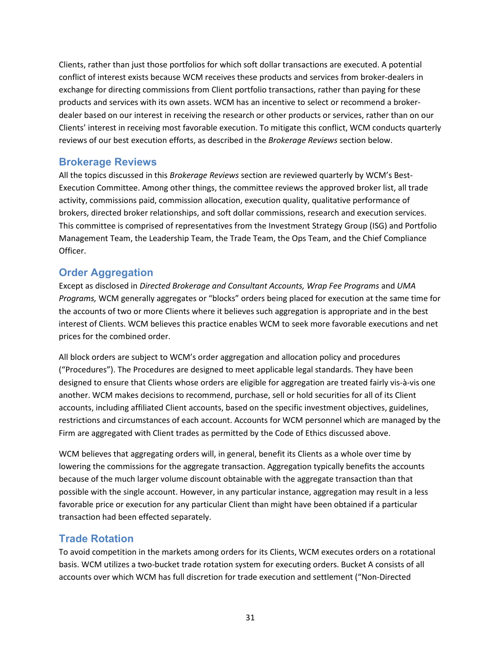Clients, rather than just those portfolios for which soft dollar transactions are executed. A potential conflict of interest exists because WCM receives these products and services from broker-dealers in exchange for directing commissions from Client portfolio transactions, rather than paying for these products and services with its own assets. WCM has an incentive to select or recommend a brokerdealer based on our interest in receiving the research or other products or services, rather than on our Clients' interest in receiving most favorable execution. To mitigate this conflict, WCM conducts quarterly reviews of our best execution efforts, as described in the *Brokerage Reviews* section below.

## <span id="page-33-0"></span>**Brokerage Reviews**

All the topics discussed in this *Brokerage Reviews* section are reviewed quarterly by WCM's Best-Execution Committee. Among other things, the committee reviews the approved broker list, all trade activity, commissions paid, commission allocation, execution quality, qualitative performance of brokers, directed broker relationships, and soft dollar commissions, research and execution services. This committee is comprised of representatives from the Investment Strategy Group (ISG) and Portfolio Management Team, the Leadership Team, the Trade Team, the Ops Team, and the Chief Compliance Officer.

# <span id="page-33-1"></span>**Order Aggregation**

Except as disclosed in *Directed Brokerage and Consultant Accounts, Wrap Fee Programs* and *UMA Programs,* WCM generally aggregates or "blocks" orders being placed for execution at the same time for the accounts of two or more Clients where it believes such aggregation is appropriate and in the best interest of Clients. WCM believes this practice enables WCM to seek more favorable executions and net prices for the combined order.

All block orders are subject to WCM's order aggregation and allocation policy and procedures ("Procedures"). The Procedures are designed to meet applicable legal standards. They have been designed to ensure that Clients whose orders are eligible for aggregation are treated fairly vis-à-vis one another. WCM makes decisions to recommend, purchase, sell or hold securities for all of its Client accounts, including affiliated Client accounts, based on the specific investment objectives, guidelines, restrictions and circumstances of each account. Accounts for WCM personnel which are managed by the Firm are aggregated with Client trades as permitted by the Code of Ethics discussed above.

WCM believes that aggregating orders will, in general, benefit its Clients as a whole over time by lowering the commissions for the aggregate transaction. Aggregation typically benefits the accounts because of the much larger volume discount obtainable with the aggregate transaction than that possible with the single account. However, in any particular instance, aggregation may result in a less favorable price or execution for any particular Client than might have been obtained if a particular transaction had been effected separately.

## <span id="page-33-2"></span>**Trade Rotation**

To avoid competition in the markets among orders for its Clients, WCM executes orders on a rotational basis. WCM utilizes a two-bucket trade rotation system for executing orders. Bucket A consists of all accounts over which WCM has full discretion for trade execution and settlement ("Non-Directed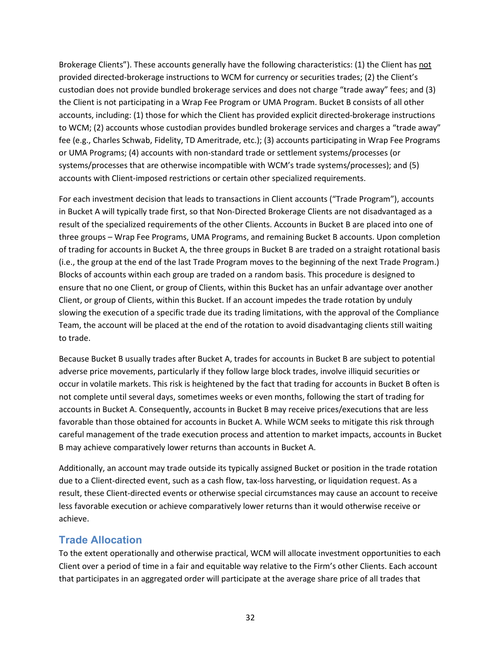Brokerage Clients"). These accounts generally have the following characteristics: (1) the Client has not provided directed-brokerage instructions to WCM for currency or securities trades; (2) the Client's custodian does not provide bundled brokerage services and does not charge "trade away" fees; and (3) the Client is not participating in a Wrap Fee Program or UMA Program. Bucket B consists of all other accounts, including: (1) those for which the Client has provided explicit directed-brokerage instructions to WCM; (2) accounts whose custodian provides bundled brokerage services and charges a "trade away" fee (e.g., Charles Schwab, Fidelity, TD Ameritrade, etc.); (3) accounts participating in Wrap Fee Programs or UMA Programs; (4) accounts with non-standard trade or settlement systems/processes (or systems/processes that are otherwise incompatible with WCM's trade systems/processes); and (5) accounts with Client-imposed restrictions or certain other specialized requirements.

For each investment decision that leads to transactions in Client accounts ("Trade Program"), accounts in Bucket A will typically trade first, so that Non-Directed Brokerage Clients are not disadvantaged as a result of the specialized requirements of the other Clients. Accounts in Bucket B are placed into one of three groups – Wrap Fee Programs, UMA Programs, and remaining Bucket B accounts. Upon completion of trading for accounts in Bucket A, the three groups in Bucket B are traded on a straight rotational basis (i.e., the group at the end of the last Trade Program moves to the beginning of the next Trade Program.) Blocks of accounts within each group are traded on a random basis. This procedure is designed to ensure that no one Client, or group of Clients, within this Bucket has an unfair advantage over another Client, or group of Clients, within this Bucket. If an account impedes the trade rotation by unduly slowing the execution of a specific trade due its trading limitations, with the approval of the Compliance Team, the account will be placed at the end of the rotation to avoid disadvantaging clients still waiting to trade.

Because Bucket B usually trades after Bucket A, trades for accounts in Bucket B are subject to potential adverse price movements, particularly if they follow large block trades, involve illiquid securities or occur in volatile markets. This risk is heightened by the fact that trading for accounts in Bucket B often is not complete until several days, sometimes weeks or even months, following the start of trading for accounts in Bucket A. Consequently, accounts in Bucket B may receive prices/executions that are less favorable than those obtained for accounts in Bucket A. While WCM seeks to mitigate this risk through careful management of the trade execution process and attention to market impacts, accounts in Bucket B may achieve comparatively lower returns than accounts in Bucket A.

Additionally, an account may trade outside its typically assigned Bucket or position in the trade rotation due to a Client-directed event, such as a cash flow, tax-loss harvesting, or liquidation request. As a result, these Client-directed events or otherwise special circumstances may cause an account to receive less favorable execution or achieve comparatively lower returns than it would otherwise receive or achieve.

## <span id="page-34-0"></span>**Trade Allocation**

To the extent operationally and otherwise practical, WCM will allocate investment opportunities to each Client over a period of time in a fair and equitable way relative to the Firm's other Clients. Each account that participates in an aggregated order will participate at the average share price of all trades that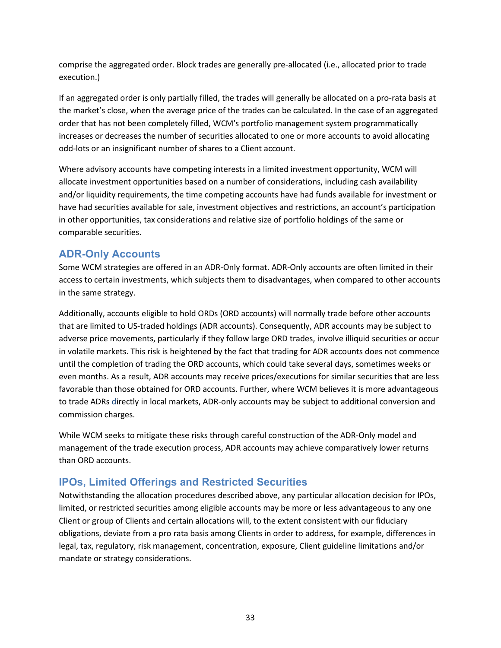comprise the aggregated order. Block trades are generally pre-allocated (i.e., allocated prior to trade execution.)

If an aggregated order is only partially filled, the trades will generally be allocated on a pro-rata basis at the market's close, when the average price of the trades can be calculated. In the case of an aggregated order that has not been completely filled, WCM's portfolio management system programmatically increases or decreases the number of securities allocated to one or more accounts to avoid allocating odd-lots or an insignificant number of shares to a Client account.

Where advisory accounts have competing interests in a limited investment opportunity, WCM will allocate investment opportunities based on a number of considerations, including cash availability and/or liquidity requirements, the time competing accounts have had funds available for investment or have had securities available for sale, investment objectives and restrictions, an account's participation in other opportunities, tax considerations and relative size of portfolio holdings of the same or comparable securities.

# <span id="page-35-0"></span>**ADR-Only Accounts**

Some WCM strategies are offered in an ADR-Only format. ADR-Only accounts are often limited in their access to certain investments, which subjects them to disadvantages, when compared to other accounts in the same strategy.

Additionally, accounts eligible to hold ORDs (ORD accounts) will normally trade before other accounts that are limited to US-traded holdings (ADR accounts). Consequently, ADR accounts may be subject to adverse price movements, particularly if they follow large ORD trades, involve illiquid securities or occur in volatile markets. This risk is heightened by the fact that trading for ADR accounts does not commence until the completion of trading the ORD accounts, which could take several days, sometimes weeks or even months. As a result, ADR accounts may receive prices/executions for similar securities that are less favorable than those obtained for ORD accounts. Further, where WCM believes it is more advantageous to trade ADRs directly in local markets, ADR-only accounts may be subject to additional conversion and commission charges.

While WCM seeks to mitigate these risks through careful construction of the ADR-Only model and management of the trade execution process, ADR accounts may achieve comparatively lower returns than ORD accounts.

# <span id="page-35-1"></span>**IPOs, Limited Offerings and Restricted Securities**

Notwithstanding the allocation procedures described above, any particular allocation decision for IPOs, limited, or restricted securities among eligible accounts may be more or less advantageous to any one Client or group of Clients and certain allocations will, to the extent consistent with our fiduciary obligations, deviate from a pro rata basis among Clients in order to address, for example, differences in legal, tax, regulatory, risk management, concentration, exposure, Client guideline limitations and/or mandate or strategy considerations.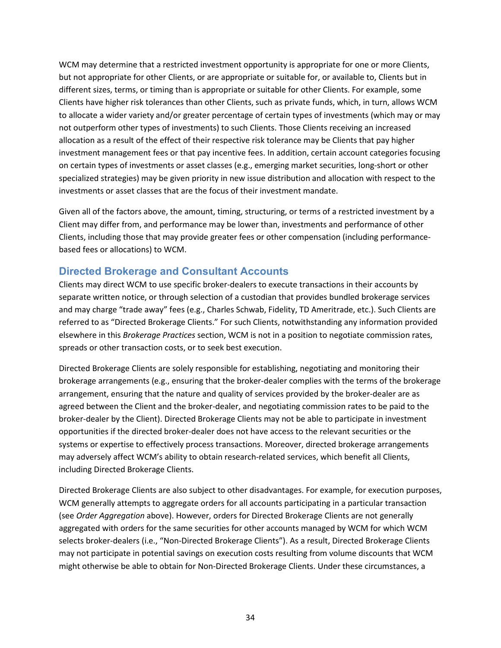WCM may determine that a restricted investment opportunity is appropriate for one or more Clients, but not appropriate for other Clients, or are appropriate or suitable for, or available to, Clients but in different sizes, terms, or timing than is appropriate or suitable for other Clients. For example, some Clients have higher risk tolerances than other Clients, such as private funds, which, in turn, allows WCM to allocate a wider variety and/or greater percentage of certain types of investments (which may or may not outperform other types of investments) to such Clients. Those Clients receiving an increased allocation as a result of the effect of their respective risk tolerance may be Clients that pay higher investment management fees or that pay incentive fees. In addition, certain account categories focusing on certain types of investments or asset classes (e.g., emerging market securities, long-short or other specialized strategies) may be given priority in new issue distribution and allocation with respect to the investments or asset classes that are the focus of their investment mandate.

Given all of the factors above, the amount, timing, structuring, or terms of a restricted investment by a Client may differ from, and performance may be lower than, investments and performance of other Clients, including those that may provide greater fees or other compensation (including performancebased fees or allocations) to WCM.

## <span id="page-36-0"></span>**Directed Brokerage and Consultant Accounts**

Clients may direct WCM to use specific broker-dealers to execute transactions in their accounts by separate written notice, or through selection of a custodian that provides bundled brokerage services and may charge "trade away" fees (e.g., Charles Schwab, Fidelity, TD Ameritrade, etc.). Such Clients are referred to as "Directed Brokerage Clients." For such Clients, notwithstanding any information provided elsewhere in this *Brokerage Practices* section, WCM is not in a position to negotiate commission rates, spreads or other transaction costs, or to seek best execution.

Directed Brokerage Clients are solely responsible for establishing, negotiating and monitoring their brokerage arrangements (e.g., ensuring that the broker-dealer complies with the terms of the brokerage arrangement, ensuring that the nature and quality of services provided by the broker-dealer are as agreed between the Client and the broker-dealer, and negotiating commission rates to be paid to the broker-dealer by the Client). Directed Brokerage Clients may not be able to participate in investment opportunities if the directed broker-dealer does not have access to the relevant securities or the systems or expertise to effectively process transactions. Moreover, directed brokerage arrangements may adversely affect WCM's ability to obtain research-related services, which benefit all Clients, including Directed Brokerage Clients.

Directed Brokerage Clients are also subject to other disadvantages. For example, for execution purposes, WCM generally attempts to aggregate orders for all accounts participating in a particular transaction (see *Order Aggregation* above). However, orders for Directed Brokerage Clients are not generally aggregated with orders for the same securities for other accounts managed by WCM for which WCM selects broker-dealers (i.e., "Non-Directed Brokerage Clients"). As a result, Directed Brokerage Clients may not participate in potential savings on execution costs resulting from volume discounts that WCM might otherwise be able to obtain for Non-Directed Brokerage Clients. Under these circumstances, a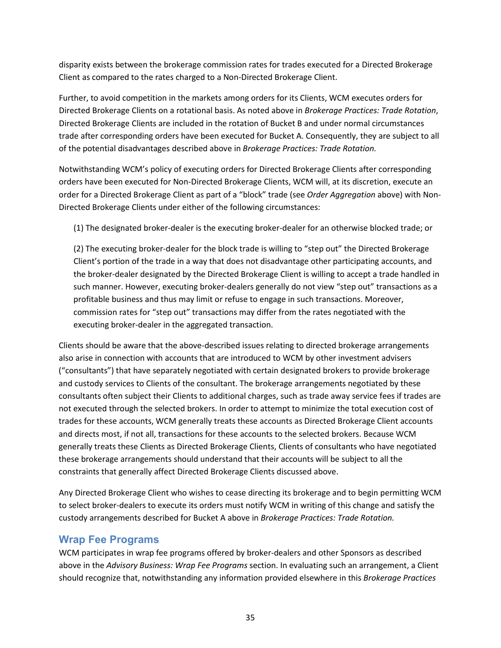disparity exists between the brokerage commission rates for trades executed for a Directed Brokerage Client as compared to the rates charged to a Non-Directed Brokerage Client.

Further, to avoid competition in the markets among orders for its Clients, WCM executes orders for Directed Brokerage Clients on a rotational basis. As noted above in *Brokerage Practices: Trade Rotation*, Directed Brokerage Clients are included in the rotation of Bucket B and under normal circumstances trade after corresponding orders have been executed for Bucket A. Consequently, they are subject to all of the potential disadvantages described above in *Brokerage Practices: Trade Rotation.*

Notwithstanding WCM's policy of executing orders for Directed Brokerage Clients after corresponding orders have been executed for Non-Directed Brokerage Clients, WCM will, at its discretion, execute an order for a Directed Brokerage Client as part of a "block" trade (see *Order Aggregation* above) with Non-Directed Brokerage Clients under either of the following circumstances:

(1) The designated broker-dealer is the executing broker-dealer for an otherwise blocked trade; or

(2) The executing broker-dealer for the block trade is willing to "step out" the Directed Brokerage Client's portion of the trade in a way that does not disadvantage other participating accounts, and the broker-dealer designated by the Directed Brokerage Client is willing to accept a trade handled in such manner. However, executing broker-dealers generally do not view "step out" transactions as a profitable business and thus may limit or refuse to engage in such transactions. Moreover, commission rates for "step out" transactions may differ from the rates negotiated with the executing broker-dealer in the aggregated transaction.

Clients should be aware that the above-described issues relating to directed brokerage arrangements also arise in connection with accounts that are introduced to WCM by other investment advisers ("consultants") that have separately negotiated with certain designated brokers to provide brokerage and custody services to Clients of the consultant. The brokerage arrangements negotiated by these consultants often subject their Clients to additional charges, such as trade away service fees if trades are not executed through the selected brokers. In order to attempt to minimize the total execution cost of trades for these accounts, WCM generally treats these accounts as Directed Brokerage Client accounts and directs most, if not all, transactions for these accounts to the selected brokers. Because WCM generally treats these Clients as Directed Brokerage Clients, Clients of consultants who have negotiated these brokerage arrangements should understand that their accounts will be subject to all the constraints that generally affect Directed Brokerage Clients discussed above.

Any Directed Brokerage Client who wishes to cease directing its brokerage and to begin permitting WCM to select broker-dealers to execute its orders must notify WCM in writing of this change and satisfy the custody arrangements described for Bucket A above in *Brokerage Practices: Trade Rotation.*

## <span id="page-37-0"></span>**Wrap Fee Programs**

WCM participates in wrap fee programs offered by broker-dealers and other Sponsors as described above in the *Advisory Business: Wrap Fee Programs* section. In evaluating such an arrangement, a Client should recognize that, notwithstanding any information provided elsewhere in this *Brokerage Practices*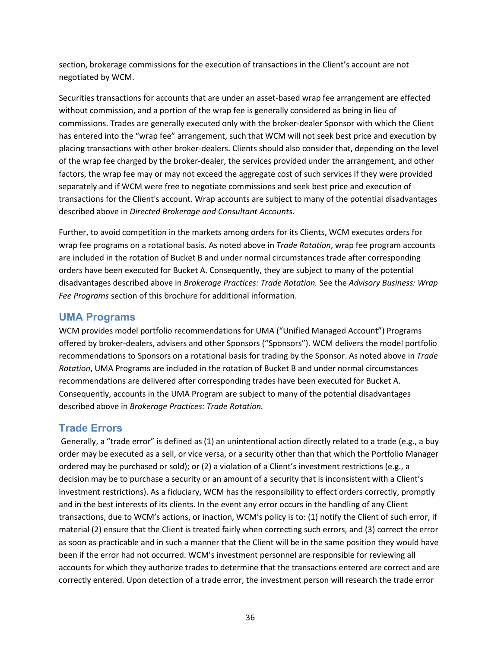section, brokerage commissions for the execution of transactions in the Client's account are not negotiated by WCM.

Securities transactions for accounts that are under an asset-based wrap fee arrangement are effected without commission, and a portion of the wrap fee is generally considered as being in lieu of commissions. Trades are generally executed only with the broker-dealer Sponsor with which the Client has entered into the "wrap fee" arrangement, such that WCM will not seek best price and execution by placing transactions with other broker-dealers. Clients should also consider that, depending on the level of the wrap fee charged by the broker-dealer, the services provided under the arrangement, and other factors, the wrap fee may or may not exceed the aggregate cost of such services if they were provided separately and if WCM were free to negotiate commissions and seek best price and execution of transactions for the Client's account. Wrap accounts are subject to many of the potential disadvantages described above in *Directed Brokerage and Consultant Accounts.*

Further, to avoid competition in the markets among orders for its Clients, WCM executes orders for wrap fee programs on a rotational basis. As noted above in *Trade Rotation*, wrap fee program accounts are included in the rotation of Bucket B and under normal circumstances trade after corresponding orders have been executed for Bucket A. Consequently, they are subject to many of the potential disadvantages described above in *Brokerage Practices: Trade Rotation.* See the *Advisory Business: Wrap Fee Programs* section of this brochure for additional information.

## <span id="page-38-0"></span>**UMA Programs**

WCM provides model portfolio recommendations for UMA ("Unified Managed Account") Programs offered by broker-dealers, advisers and other Sponsors ("Sponsors"). WCM delivers the model portfolio recommendations to Sponsors on a rotational basis for trading by the Sponsor. As noted above in *Trade Rotation*, UMA Programs are included in the rotation of Bucket B and under normal circumstances recommendations are delivered after corresponding trades have been executed for Bucket A. Consequently, accounts in the UMA Program are subject to many of the potential disadvantages described above in *Brokerage Practices: Trade Rotation.*

## <span id="page-38-1"></span>**Trade Errors**

Generally, a "trade error" is defined as (1) an unintentional action directly related to a trade (e.g., a buy order may be executed as a sell, or vice versa, or a security other than that which the Portfolio Manager ordered may be purchased or sold); or (2) a violation of a Client's investment restrictions (e.g., a decision may be to purchase a security or an amount of a security that is inconsistent with a Client's investment restrictions). As a fiduciary, WCM has the responsibility to effect orders correctly, promptly and in the best interests of its clients. In the event any error occurs in the handling of any Client transactions, due to WCM's actions, or inaction, WCM's policy is to: (1) notify the Client of such error, if material (2) ensure that the Client is treated fairly when correcting such errors, and (3) correct the error as soon as practicable and in such a manner that the Client will be in the same position they would have been if the error had not occurred. WCM's investment personnel are responsible for reviewing all accounts for which they authorize trades to determine that the transactions entered are correct and are correctly entered. Upon detection of a trade error, the investment person will research the trade error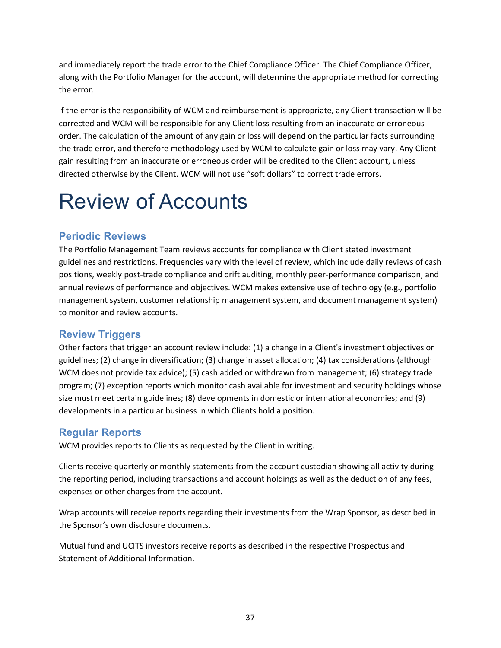and immediately report the trade error to the Chief Compliance Officer. The Chief Compliance Officer, along with the Portfolio Manager for the account, will determine the appropriate method for correcting the error.

If the error is the responsibility of WCM and reimbursement is appropriate, any Client transaction will be corrected and WCM will be responsible for any Client loss resulting from an inaccurate or erroneous order. The calculation of the amount of any gain or loss will depend on the particular facts surrounding the trade error, and therefore methodology used by WCM to calculate gain or loss may vary. Any Client gain resulting from an inaccurate or erroneous order will be credited to the Client account, unless directed otherwise by the Client. WCM will not use "soft dollars" to correct trade errors.

# <span id="page-39-0"></span>Review of Accounts

# <span id="page-39-1"></span>**Periodic Reviews**

The Portfolio Management Team reviews accounts for compliance with Client stated investment guidelines and restrictions. Frequencies vary with the level of review, which include daily reviews of cash positions, weekly post-trade compliance and drift auditing, monthly peer-performance comparison, and annual reviews of performance and objectives. WCM makes extensive use of technology (e.g., portfolio management system, customer relationship management system, and document management system) to monitor and review accounts.

## <span id="page-39-2"></span>**Review Triggers**

Other factors that trigger an account review include: (1) a change in a Client's investment objectives or guidelines; (2) change in diversification; (3) change in asset allocation; (4) tax considerations (although WCM does not provide tax advice); (5) cash added or withdrawn from management; (6) strategy trade program; (7) exception reports which monitor cash available for investment and security holdings whose size must meet certain guidelines; (8) developments in domestic or international economies; and (9) developments in a particular business in which Clients hold a position.

# <span id="page-39-3"></span>**Regular Reports**

WCM provides reports to Clients as requested by the Client in writing.

Clients receive quarterly or monthly statements from the account custodian showing all activity during the reporting period, including transactions and account holdings as well as the deduction of any fees, expenses or other charges from the account.

Wrap accounts will receive reports regarding their investments from the Wrap Sponsor, as described in the Sponsor's own disclosure documents.

Mutual fund and UCITS investors receive reports as described in the respective Prospectus and Statement of Additional Information.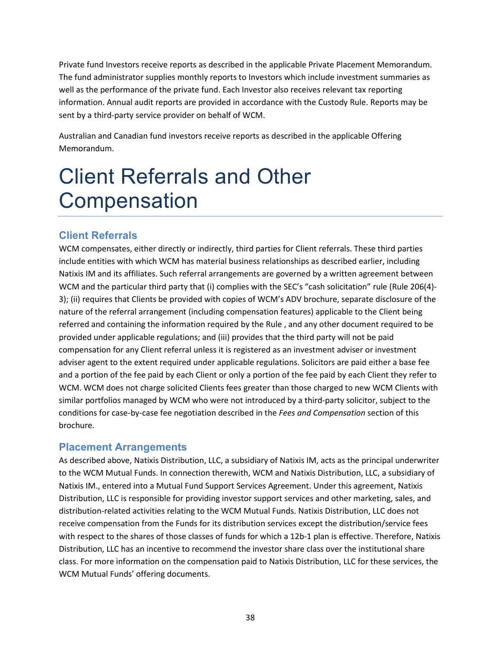Private fund Investors receive reports as described in the applicable Private Placement Memorandum. The fund administrator supplies monthly reports to Investors which include investment summaries as well as the performance of the private fund. Each Investor also receives relevant tax reporting information. Annual audit reports are provided in accordance with the Custody Rule. Reports may be sent by a third-party service provider on behalf of WCM.

Australian and Canadian fund investors receive reports as described in the applicable Offering Memorandum.

# <span id="page-40-0"></span>Client Referrals and Other **Compensation**

# <span id="page-40-1"></span>**Client Referrals**

WCM compensates, either directly or indirectly, third parties for Client referrals. These third parties include entities with which WCM has material business relationships as described earlier, including Natixis IM and its affiliates. Such referral arrangements are governed by a written agreement between WCM and the particular third party that (i) complies with the SEC's "cash solicitation" rule (Rule 206(4)-3); (ii) requires that Clients be provided with copies of WCM's ADV brochure, separate disclosure of the nature of the referral arrangement (including compensation features) applicable to the Client being referred and containing the information required by the Rule , and any other document required to be provided under applicable regulations; and (iii) provides that the third party will not be paid compensation for any Client referral unless it is registered as an investment adviser or investment adviser agent to the extent required under applicable regulations. Solicitors are paid either a base fee and a portion of the fee paid by each Client or only a portion of the fee paid by each Client they refer to WCM. WCM does not charge solicited Clients fees greater than those charged to new WCM Clients with similar portfolios managed by WCM who were not introduced by a third-party solicitor, subject to the conditions for case-by-case fee negotiation described in the *Fees and Compensation* section of this brochure.

## <span id="page-40-2"></span>**Placement Arrangements**

As described above, Natixis Distribution, LLC, a subsidiary of Natixis IM, acts as the principal underwriter to the WCM Mutual Funds. In connection therewith, WCM and Natixis Distribution, LLC, a subsidiary of Natixis IM., entered into a Mutual Fund Support Services Agreement. Under this agreement, Natixis Distribution, LLC is responsible for providing investor support services and other marketing, sales, and distribution-related activities relating to the WCM Mutual Funds. Natixis Distribution, LLC does not receive compensation from the Funds for its distribution services except the distribution/service fees with respect to the shares of those classes of funds for which a 12b-1 plan is effective. Therefore, Natixis Distribution, LLC has an incentive to recommend the investor share class over the institutional share class. For more information on the compensation paid to Natixis Distribution, LLC for these services, the WCM Mutual Funds' offering documents.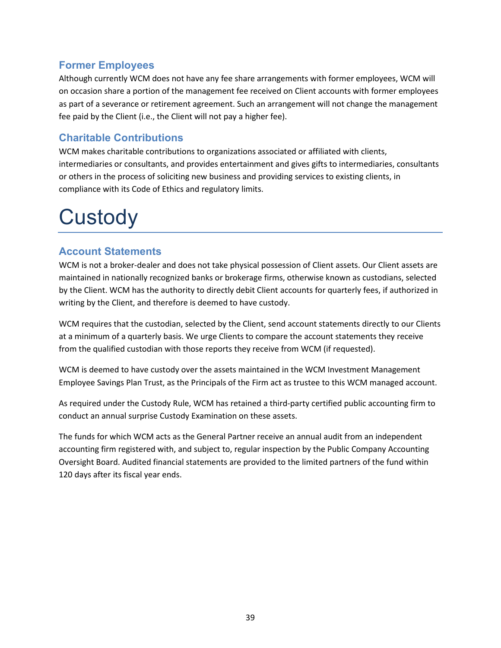## <span id="page-41-0"></span>**Former Employees**

Although currently WCM does not have any fee share arrangements with former employees, WCM will on occasion share a portion of the management fee received on Client accounts with former employees as part of a severance or retirement agreement. Such an arrangement will not change the management fee paid by the Client (i.e., the Client will not pay a higher fee).

# <span id="page-41-1"></span>**Charitable Contributions**

WCM makes charitable contributions to organizations associated or affiliated with clients, intermediaries or consultants, and provides entertainment and gives gifts to intermediaries, consultants or others in the process of soliciting new business and providing services to existing clients, in compliance with its Code of Ethics and regulatory limits.

# <span id="page-41-2"></span>**Custody**

## <span id="page-41-3"></span>**Account Statements**

WCM is not a broker-dealer and does not take physical possession of Client assets. Our Client assets are maintained in nationally recognized banks or brokerage firms, otherwise known as custodians, selected by the Client. WCM has the authority to directly debit Client accounts for quarterly fees, if authorized in writing by the Client, and therefore is deemed to have custody.

WCM requires that the custodian, selected by the Client, send account statements directly to our Clients at a minimum of a quarterly basis. We urge Clients to compare the account statements they receive from the qualified custodian with those reports they receive from WCM (if requested).

WCM is deemed to have custody over the assets maintained in the WCM Investment Management Employee Savings Plan Trust, as the Principals of the Firm act as trustee to this WCM managed account.

As required under the Custody Rule, WCM has retained a third-party certified public accounting firm to conduct an annual surprise Custody Examination on these assets.

The funds for which WCM acts as the General Partner receive an annual audit from an independent accounting firm registered with, and subject to, regular inspection by the Public Company Accounting Oversight Board. Audited financial statements are provided to the limited partners of the fund within 120 days after its fiscal year ends.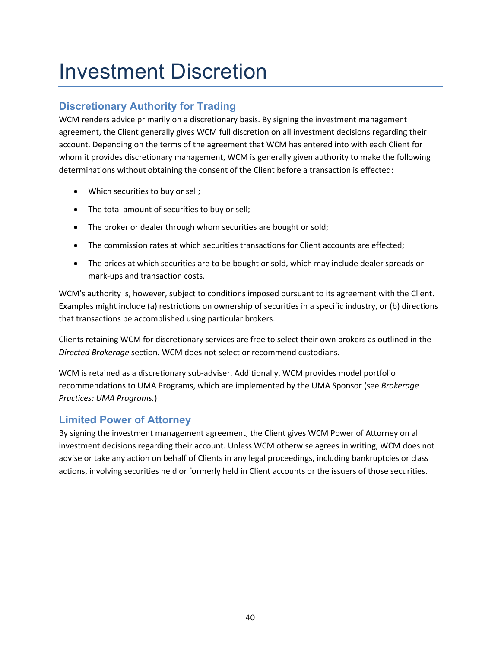# <span id="page-42-0"></span>Investment Discretion

# <span id="page-42-1"></span>**Discretionary Authority for Trading**

WCM renders advice primarily on a discretionary basis. By signing the investment management agreement, the Client generally gives WCM full discretion on all investment decisions regarding their account. Depending on the terms of the agreement that WCM has entered into with each Client for whom it provides discretionary management, WCM is generally given authority to make the following determinations without obtaining the consent of the Client before a transaction is effected:

- Which securities to buy or sell;
- The total amount of securities to buy or sell;
- The broker or dealer through whom securities are bought or sold;
- The commission rates at which securities transactions for Client accounts are effected;
- The prices at which securities are to be bought or sold, which may include dealer spreads or mark-ups and transaction costs.

WCM's authority is, however, subject to conditions imposed pursuant to its agreement with the Client. Examples might include (a) restrictions on ownership of securities in a specific industry, or (b) directions that transactions be accomplished using particular brokers.

Clients retaining WCM for discretionary services are free to select their own brokers as outlined in the *Directed Brokerage* section*.* WCM does not select or recommend custodians.

WCM is retained as a discretionary sub-adviser. Additionally, WCM provides model portfolio recommendations to UMA Programs, which are implemented by the UMA Sponsor (see *Brokerage Practices: UMA Programs.*)

# <span id="page-42-2"></span>**Limited Power of Attorney**

By signing the investment management agreement, the Client gives WCM Power of Attorney on all investment decisions regarding their account. Unless WCM otherwise agrees in writing, WCM does not advise or take any action on behalf of Clients in any legal proceedings, including bankruptcies or class actions, involving securities held or formerly held in Client accounts or the issuers of those securities.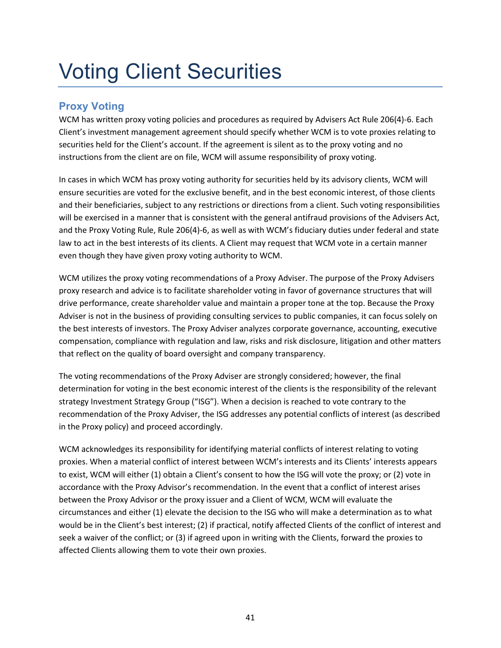# <span id="page-43-0"></span>Voting Client Securities

# <span id="page-43-1"></span>**Proxy Voting**

WCM has written proxy voting policies and procedures as required by Advisers Act Rule 206(4)-6. Each Client's investment management agreement should specify whether WCM is to vote proxies relating to securities held for the Client's account. If the agreement is silent as to the proxy voting and no instructions from the client are on file, WCM will assume responsibility of proxy voting.

In cases in which WCM has proxy voting authority for securities held by its advisory clients, WCM will ensure securities are voted for the exclusive benefit, and in the best economic interest, of those clients and their beneficiaries, subject to any restrictions or directions from a client. Such voting responsibilities will be exercised in a manner that is consistent with the general antifraud provisions of the Advisers Act, and the Proxy Voting Rule, Rule 206(4)-6, as well as with WCM's fiduciary duties under federal and state law to act in the best interests of its clients. A Client may request that WCM vote in a certain manner even though they have given proxy voting authority to WCM.

WCM utilizes the proxy voting recommendations of a Proxy Adviser. The purpose of the Proxy Advisers proxy research and advice is to facilitate shareholder voting in favor of governance structures that will drive performance, create shareholder value and maintain a proper tone at the top. Because the Proxy Adviser is not in the business of providing consulting services to public companies, it can focus solely on the best interests of investors. The Proxy Adviser analyzes corporate governance, accounting, executive compensation, compliance with regulation and law, risks and risk disclosure, litigation and other matters that reflect on the quality of board oversight and company transparency.

The voting recommendations of the Proxy Adviser are strongly considered; however, the final determination for voting in the best economic interest of the clients is the responsibility of the relevant strategy Investment Strategy Group ("ISG"). When a decision is reached to vote contrary to the recommendation of the Proxy Adviser, the ISG addresses any potential conflicts of interest (as described in the Proxy policy) and proceed accordingly.

WCM acknowledges its responsibility for identifying material conflicts of interest relating to voting proxies. When a material conflict of interest between WCM's interests and its Clients' interests appears to exist, WCM will either (1) obtain a Client's consent to how the ISG will vote the proxy; or (2) vote in accordance with the Proxy Advisor's recommendation. In the event that a conflict of interest arises between the Proxy Advisor or the proxy issuer and a Client of WCM, WCM will evaluate the circumstances and either (1) elevate the decision to the ISG who will make a determination as to what would be in the Client's best interest; (2) if practical, notify affected Clients of the conflict of interest and seek a waiver of the conflict; or (3) if agreed upon in writing with the Clients, forward the proxies to affected Clients allowing them to vote their own proxies.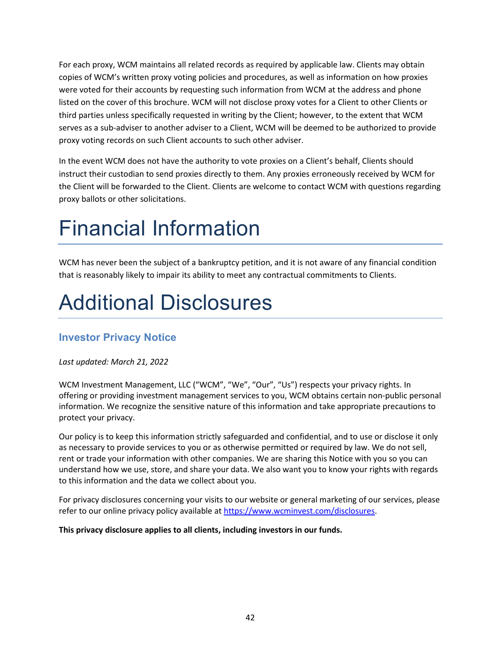For each proxy, WCM maintains all related records as required by applicable law. Clients may obtain copies of WCM's written proxy voting policies and procedures, as well as information on how proxies were voted for their accounts by requesting such information from WCM at the address and phone listed on the cover of this brochure. WCM will not disclose proxy votes for a Client to other Clients or third parties unless specifically requested in writing by the Client; however, to the extent that WCM serves as a sub-adviser to another adviser to a Client, WCM will be deemed to be authorized to provide proxy voting records on such Client accounts to such other adviser.

In the event WCM does not have the authority to vote proxies on a Client's behalf, Clients should instruct their custodian to send proxies directly to them. Any proxies erroneously received by WCM for the Client will be forwarded to the Client. Clients are welcome to contact WCM with questions regarding proxy ballots or other solicitations.

# <span id="page-44-0"></span>Financial Information

WCM has never been the subject of a bankruptcy petition, and it is not aware of any financial condition that is reasonably likely to impair its ability to meet any contractual commitments to Clients.

# <span id="page-44-1"></span>Additional Disclosures

# <span id="page-44-2"></span>**Investor Privacy Notice**

## *Last updated: March 21, 2022*

WCM Investment Management, LLC ("WCM", "We", "Our", "Us") respects your privacy rights. In offering or providing investment management services to you, WCM obtains certain non-public personal information. We recognize the sensitive nature of this information and take appropriate precautions to protect your privacy.

Our policy is to keep this information strictly safeguarded and confidential, and to use or disclose it only as necessary to provide services to you or as otherwise permitted or required by law. We do not sell, rent or trade your information with other companies. We are sharing this Notice with you so you can understand how we use, store, and share your data. We also want you to know your rights with regards to this information and the data we collect about you.

For privacy disclosures concerning your visits to our website or general marketing of our services, please refer to our online privacy policy available at [https://www.wcminvest.com/disclosures.](https://www.wcminvest.com/disclosures)

### **This privacy disclosure applies to all clients, including investors in our funds.**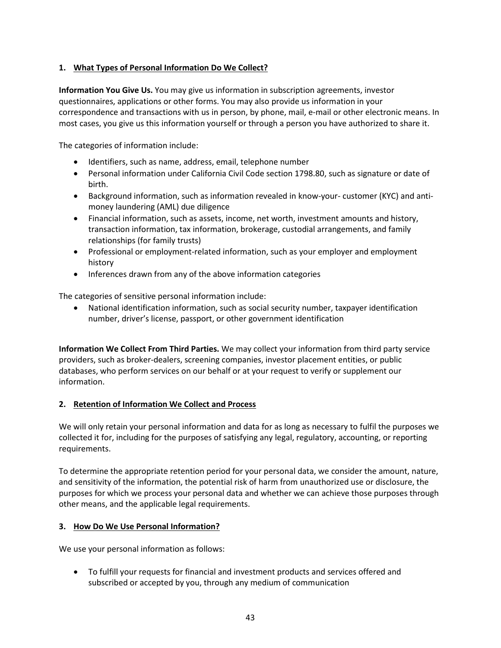## **1. What Types of Personal Information Do We Collect?**

**Information You Give Us.** You may give us information in subscription agreements, investor questionnaires, applications or other forms. You may also provide us information in your correspondence and transactions with us in person, by phone, mail, e-mail or other electronic means. In most cases, you give us this information yourself or through a person you have authorized to share it.

The categories of information include:

- Identifiers, such as name, address, email, telephone number
- Personal information under California Civil [Code section 1798.80,](https://leginfo.legislature.ca.gov/faces/codes_displaySection.xhtml?sectionNum=1798.80.&lawCode=CIV) such as signature or date of birth.
- Background information, such as information revealed in know-your- customer (KYC) and antimoney laundering (AML) due diligence
- Financial information, such as assets, income, net worth, investment amounts and history, transaction information, tax information, brokerage, custodial arrangements, and family relationships (for family trusts)
- Professional or employment-related information, such as your employer and employment history
- Inferences drawn from any of the above information categories

The categories of sensitive personal information include:

• National identification information, such as social security number, taxpayer identification number, driver's license, passport, or other government identification

**Information We Collect From Third Parties.** We may collect your information from third party service providers, such as broker-dealers, screening companies, investor placement entities, or public databases, who perform services on our behalf or at your request to verify or supplement our information.

#### **2. Retention of Information We Collect and Process**

We will only retain your personal information and data for as long as necessary to fulfil the purposes we collected it for, including for the purposes of satisfying any legal, regulatory, accounting, or reporting requirements.

To determine the appropriate retention period for your personal data, we consider the amount, nature, and sensitivity of the information, the potential risk of harm from unauthorized use or disclosure, the purposes for which we process your personal data and whether we can achieve those purposes through other means, and the applicable legal requirements.

### **3. How Do We Use Personal Information?**

We use your personal information as follows:

• To fulfill your requests for financial and investment products and services offered and subscribed or accepted by you, through any medium of communication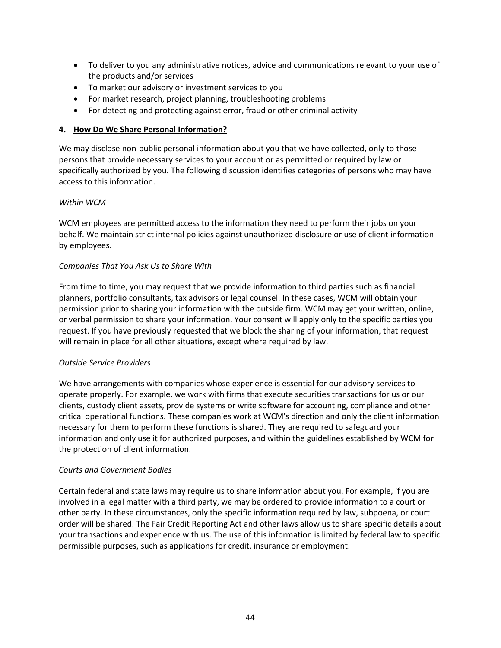- To deliver to you any administrative notices, advice and communications relevant to your use of the products and/or services
- To market our advisory or investment services to you
- For market research, project planning, troubleshooting problems
- For detecting and protecting against error, fraud or other criminal activity

#### **4. How Do We Share Personal Information?**

We may disclose non-public personal information about you that we have collected, only to those persons that provide necessary services to your account or as permitted or required by law or specifically authorized by you. The following discussion identifies categories of persons who may have access to this information.

#### *Within WCM*

WCM employees are permitted access to the information they need to perform their jobs on your behalf. We maintain strict internal policies against unauthorized disclosure or use of client information by employees.

#### *Companies That You Ask Us to Share With*

From time to time, you may request that we provide information to third parties such as financial planners, portfolio consultants, tax advisors or legal counsel. In these cases, WCM will obtain your permission prior to sharing your information with the outside firm. WCM may get your written, online, or verbal permission to share your information. Your consent will apply only to the specific parties you request. If you have previously requested that we block the sharing of your information, that request will remain in place for all other situations, except where required by law.

#### *Outside Service Providers*

We have arrangements with companies whose experience is essential for our advisory services to operate properly. For example, we work with firms that execute securities transactions for us or our clients, custody client assets, provide systems or write software for accounting, compliance and other critical operational functions. These companies work at WCM's direction and only the client information necessary for them to perform these functions is shared. They are required to safeguard your information and only use it for authorized purposes, and within the guidelines established by WCM for the protection of client information.

#### *Courts and Government Bodies*

Certain federal and state laws may require us to share information about you. For example, if you are involved in a legal matter with a third party, we may be ordered to provide information to a court or other party. In these circumstances, only the specific information required by law, subpoena, or court order will be shared. The Fair Credit Reporting Act and other laws allow us to share specific details about your transactions and experience with us. The use of this information is limited by federal law to specific permissible purposes, such as applications for credit, insurance or employment.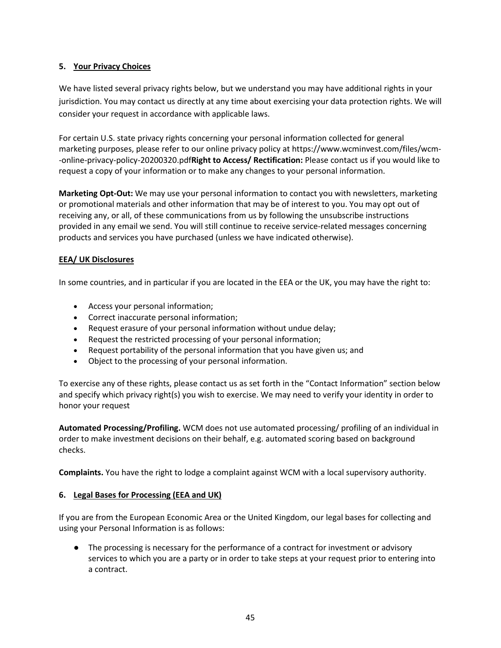## **5. Your Privacy Choices**

We have listed several privacy rights below, but we understand you may have additional rights in your jurisdiction. You may contact us directly at any time about exercising your data protection rights. We will consider your request in accordance with applicable laws.

For certain U.S. state privacy rights concerning your personal information collected for general marketing purposes, please refer to our online privacy policy at https://www.wcminvest.com/files/wcm- -online-privacy-policy-20200320.pdf**Right to Access/ Rectification:** Please contact us if you would like to request a copy of your information or to make any changes to your personal information.

**Marketing Opt-Out:** We may use your personal information to contact you with newsletters, marketing or promotional materials and other information that may be of interest to you. You may opt out of receiving any, or all, of these communications from us by following the unsubscribe instructions provided in any email we send. You will still continue to receive service-related messages concerning products and services you have purchased (unless we have indicated otherwise).

### **EEA/ UK Disclosures**

In some countries, and in particular if you are located in the EEA or the UK, you may have the right to:

- Access your personal information;
- Correct inaccurate personal information;
- Request erasure of your personal information without undue delay;
- Request the restricted processing of your personal information;
- Request portability of the personal information that you have given us; and
- Object to the processing of your personal information.

To exercise any of these rights, please contact us as set forth in the "Contact Information" section below and specify which privacy right(s) you wish to exercise. We may need to verify your identity in order to honor your request

**Automated Processing/Profiling.** WCM does not use automated processing/ profiling of an individual in order to make investment decisions on their behalf, e.g. automated scoring based on background checks.

**Complaints.** You have the right to lodge a complaint against WCM with a local supervisory authority.

#### **6. Legal Bases for Processing (EEA and UK)**

If you are from the European Economic Area or the United Kingdom, our legal bases for collecting and using your Personal Information is as follows:

● The processing is necessary for the performance of a contract for investment or advisory services to which you are a party or in order to take steps at your request prior to entering into a contract.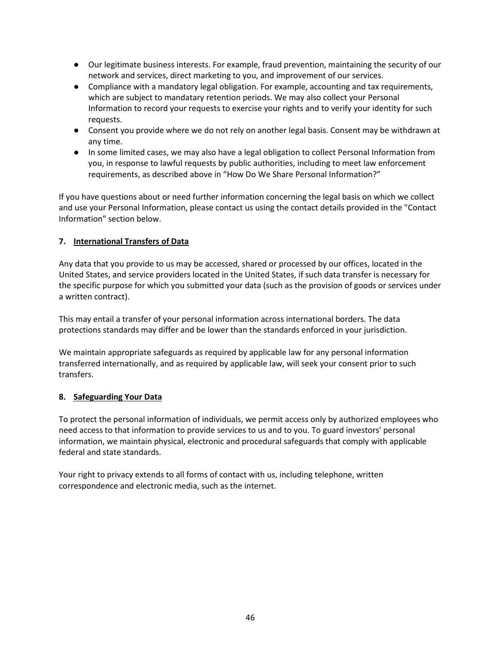- Our legitimate business interests. For example, fraud prevention, maintaining the security of our network and services, direct marketing to you, and improvement of our services.
- Compliance with a mandatory legal obligation. For example, accounting and tax requirements, which are subject to mandatary retention periods. We may also collect your Personal Information to record your requests to exercise your rights and to verify your identity for such requests.
- Consent you provide where we do not rely on another legal basis. Consent may be withdrawn at any time.
- In some limited cases, we may also have a legal obligation to collect Personal Information from you, in response to lawful requests by public authorities, including to meet law enforcement requirements, as described above in "How Do We Share Personal Information?"

If you have questions about or need further information concerning the legal basis on which we collect and use your Personal Information, please contact us using the contact details provided in the "Contact Information" section below.

## **7. International Transfers of Data**

Any data that you provide to us may be accessed, shared or processed by our offices, located in the United States, and service providers located in the United States, if such data transfer is necessary for the specific purpose for which you submitted your data (such as the provision of goods or services under a written contract).

This may entail a transfer of your personal information across international borders. The data protections standards may differ and be lower than the standards enforced in your jurisdiction.

We maintain appropriate safeguards as required by applicable law for any personal information transferred internationally, and as required by applicable law, will seek your consent prior to such transfers.

### **8. Safeguarding Your Data**

To protect the personal information of individuals, we permit access only by authorized employees who need access to that information to provide services to us and to you. To guard investors' personal information, we maintain physical, electronic and procedural safeguards that comply with applicable federal and state standards.

Your right to privacy extends to all forms of contact with us, including telephone, written correspondence and electronic media, such as the internet.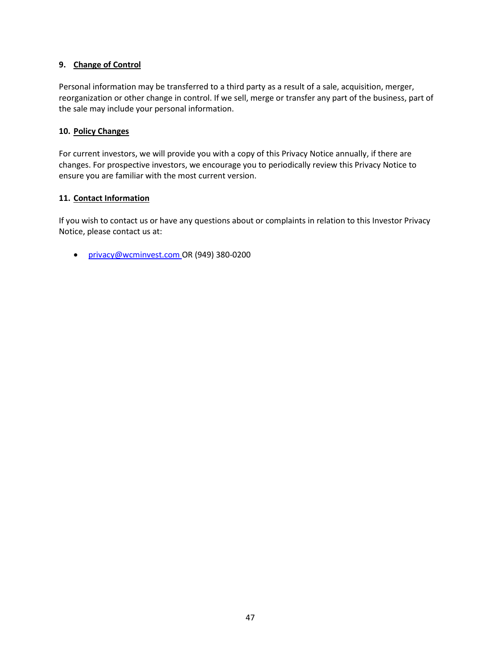#### **9. Change of Control**

Personal information may be transferred to a third party as a result of a sale, acquisition, merger, reorganization or other change in control. If we sell, merge or transfer any part of the business, part of the sale may include your personal information.

#### **10. Policy Changes**

For current investors, we will provide you with a copy of this Privacy Notice annually, if there are changes. For prospective investors, we encourage you to periodically review this Privacy Notice to ensure you are familiar with the most current version.

#### **11. Contact Information**

If you wish to contact us or have any questions about or complaints in relation to this Investor Privacy Notice, please contact us at:

• [privacy@wcminvest.com](mailto:privacy@wcminvest.com) OR (949) 380-0200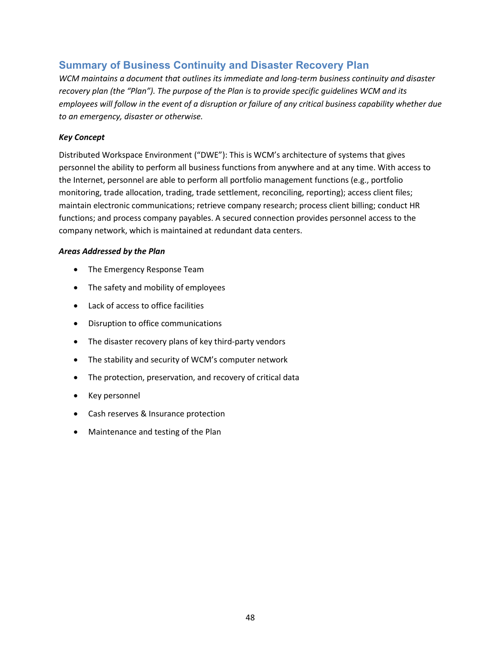## <span id="page-50-0"></span>**Summary of Business Continuity and Disaster Recovery Plan**

*WCM maintains a document that outlines its immediate and long-term business continuity and disaster recovery plan (the "Plan"). The purpose of the Plan is to provide specific guidelines WCM and its employees will follow in the event of a disruption or failure of any critical business capability whether due to an emergency, disaster or otherwise.*

#### *Key Concept*

Distributed Workspace Environment ("DWE"): This is WCM's architecture of systems that gives personnel the ability to perform all business functions from anywhere and at any time. With access to the Internet, personnel are able to perform all portfolio management functions (e.g., portfolio monitoring, trade allocation, trading, trade settlement, reconciling, reporting); access client files; maintain electronic communications; retrieve company research; process client billing; conduct HR functions; and process company payables. A secured connection provides personnel access to the company network, which is maintained at redundant data centers.

#### *Areas Addressed by the Plan*

- The Emergency Response Team
- The safety and mobility of employees
- Lack of access to office facilities
- Disruption to office communications
- The disaster recovery plans of key third-party vendors
- The stability and security of WCM's computer network
- The protection, preservation, and recovery of critical data
- Key personnel
- Cash reserves & Insurance protection
- Maintenance and testing of the Plan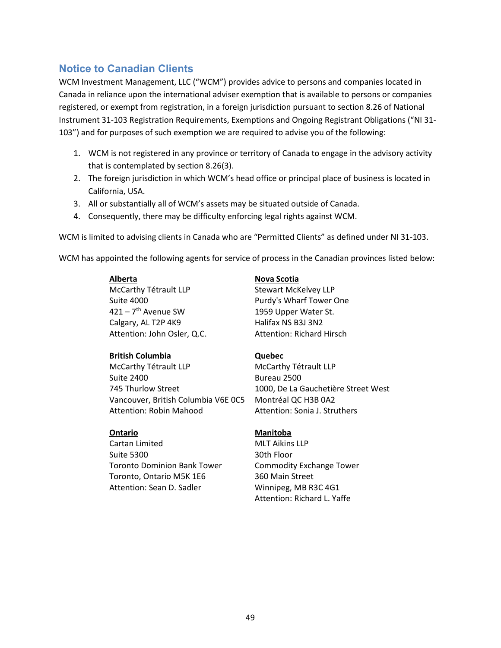# <span id="page-51-0"></span>**Notice to Canadian Clients**

WCM Investment Management, LLC ("WCM") provides advice to persons and companies located in Canada in reliance upon the international adviser exemption that is available to persons or companies registered, or exempt from registration, in a foreign jurisdiction pursuant to section 8.26 of National Instrument 31-103 Registration Requirements, Exemptions and Ongoing Registrant Obligations ("NI 31- 103") and for purposes of such exemption we are required to advise you of the following:

- 1. WCM is not registered in any province or territory of Canada to engage in the advisory activity that is contemplated by section 8.26(3).
- 2. The foreign jurisdiction in which WCM's head office or principal place of business is located in California, USA.
- 3. All or substantially all of WCM's assets may be situated outside of Canada.
- 4. Consequently, there may be difficulty enforcing legal rights against WCM.

WCM is limited to advising clients in Canada who are "Permitted Clients" as defined under NI 31-103.

WCM has appointed the following agents for service of process in the Canadian provinces listed below:

#### **Alberta**

McCarthy Tétrault LLP Suite 4000  $421 - 7$ <sup>th</sup> Avenue SW Calgary, AL T2P 4K9 Attention: John Osler, Q.C.

#### **British Columbia**

McCarthy Tétrault LLP Suite 2400 745 Thurlow Street Vancouver, British Columbia V6E 0C5 Attention: Robin Mahood

#### **Ontario**

Cartan Limited Suite 5300 Toronto Dominion Bank Tower Toronto, Ontario M5K 1E6 Attention: Sean D. Sadler

#### **Nova Scotia**

Stewart McKelvey LLP Purdy's Wharf Tower One 1959 Upper Water St. Halifax NS B3J 3N2 Attention: Richard Hirsch

#### **Quebec**

McCarthy Tétrault LLP Bureau 2500 1000, De La Gauchetière Street West Montréal QC H3B 0A2 Attention: Sonia J. Struthers

#### **Manitoba**

MLT Aikins LLP 30th Floor Commodity Exchange Tower 360 Main Street Winnipeg, MB R3C 4G1 Attention: Richard L. Yaffe